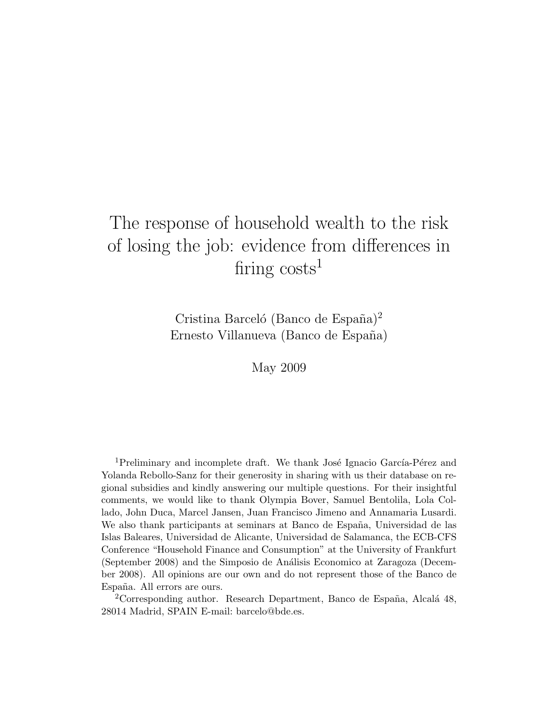# The response of household wealth to the risk of losing the job: evidence from differences in firing  $costs<sup>1</sup>$

Cristina Barceló (Banco de España)<sup>2</sup> Ernesto Villanueva (Banco de España)

May 2009

<sup>1</sup>Preliminary and incomplete draft. We thank José Ignacio García-Pérez and Yolanda Rebollo-Sanz for their generosity in sharing with us their database on regional subsidies and kindly answering our multiple questions. For their insightful comments, we would like to thank Olympia Bover, Samuel Bentolila, Lola Collado, John Duca, Marcel Jansen, Juan Francisco Jimeno and Annamaria Lusardi. We also thank participants at seminars at Banco de España, Universidad de las Islas Baleares, Universidad de Alicante, Universidad de Salamanca, the ECB-CFS Conference "Household Finance and Consumption" at the University of Frankfurt (September 2008) and the Simposio de An´alisis Economico at Zaragoza (December 2008). All opinions are our own and do not represent those of the Banco de España. All errors are ours.

 $2^2$ Corresponding author. Research Department, Banco de España, Alcalá 48, 28014 Madrid, SPAIN E-mail: barcelo@bde.es.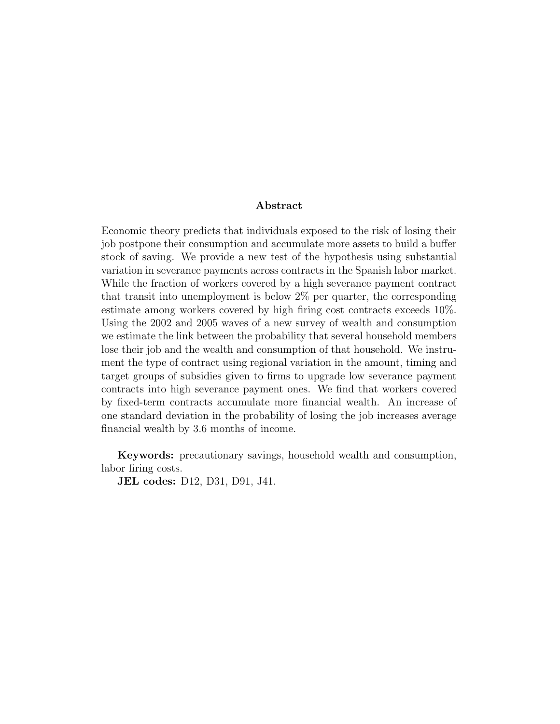### Abstract

Economic theory predicts that individuals exposed to the risk of losing their job postpone their consumption and accumulate more assets to build a buffer stock of saving. We provide a new test of the hypothesis using substantial variation in severance payments across contracts in the Spanish labor market. While the fraction of workers covered by a high severance payment contract that transit into unemployment is below 2% per quarter, the corresponding estimate among workers covered by high firing cost contracts exceeds 10%. Using the 2002 and 2005 waves of a new survey of wealth and consumption we estimate the link between the probability that several household members lose their job and the wealth and consumption of that household. We instrument the type of contract using regional variation in the amount, timing and target groups of subsidies given to firms to upgrade low severance payment contracts into high severance payment ones. We find that workers covered by fixed-term contracts accumulate more financial wealth. An increase of one standard deviation in the probability of losing the job increases average financial wealth by 3.6 months of income.

Keywords: precautionary savings, household wealth and consumption, labor firing costs.

JEL codes: D12, D31, D91, J41.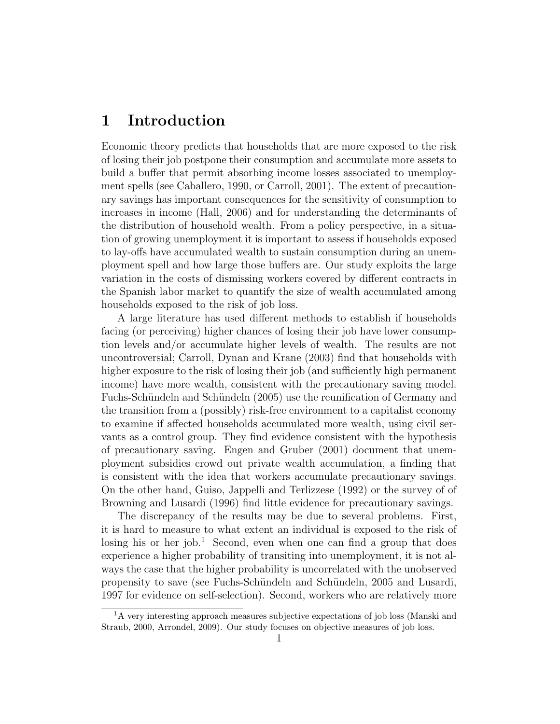## 1 Introduction

Economic theory predicts that households that are more exposed to the risk of losing their job postpone their consumption and accumulate more assets to build a buffer that permit absorbing income losses associated to unemployment spells (see Caballero, 1990, or Carroll, 2001). The extent of precautionary savings has important consequences for the sensitivity of consumption to increases in income (Hall, 2006) and for understanding the determinants of the distribution of household wealth. From a policy perspective, in a situation of growing unemployment it is important to assess if households exposed to lay-offs have accumulated wealth to sustain consumption during an unemployment spell and how large those buffers are. Our study exploits the large variation in the costs of dismissing workers covered by different contracts in the Spanish labor market to quantify the size of wealth accumulated among households exposed to the risk of job loss.

A large literature has used different methods to establish if households facing (or perceiving) higher chances of losing their job have lower consumption levels and/or accumulate higher levels of wealth. The results are not uncontroversial; Carroll, Dynan and Krane (2003) find that households with higher exposure to the risk of losing their job (and sufficiently high permanent income) have more wealth, consistent with the precautionary saving model. Fuchs-Schündeln and Schündeln (2005) use the reunification of Germany and the transition from a (possibly) risk-free environment to a capitalist economy to examine if affected households accumulated more wealth, using civil servants as a control group. They find evidence consistent with the hypothesis of precautionary saving. Engen and Gruber (2001) document that unemployment subsidies crowd out private wealth accumulation, a finding that is consistent with the idea that workers accumulate precautionary savings. On the other hand, Guiso, Jappelli and Terlizzese (1992) or the survey of of Browning and Lusardi (1996) find little evidence for precautionary savings.

The discrepancy of the results may be due to several problems. First, it is hard to measure to what extent an individual is exposed to the risk of losing his or her job.<sup>1</sup> Second, even when one can find a group that does experience a higher probability of transiting into unemployment, it is not always the case that the higher probability is uncorrelated with the unobserved propensity to save (see Fuchs-Schündeln and Schündeln, 2005 and Lusardi, 1997 for evidence on self-selection). Second, workers who are relatively more

<sup>1</sup>A very interesting approach measures subjective expectations of job loss (Manski and Straub, 2000, Arrondel, 2009). Our study focuses on objective measures of job loss.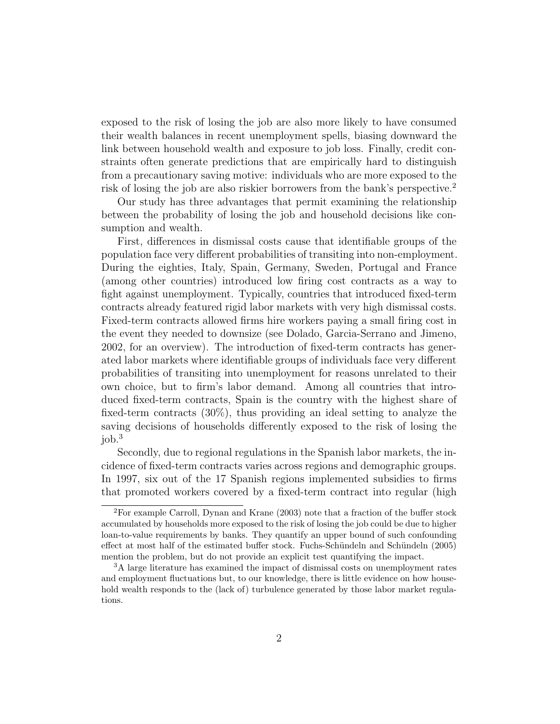exposed to the risk of losing the job are also more likely to have consumed their wealth balances in recent unemployment spells, biasing downward the link between household wealth and exposure to job loss. Finally, credit constraints often generate predictions that are empirically hard to distinguish from a precautionary saving motive: individuals who are more exposed to the risk of losing the job are also riskier borrowers from the bank's perspective.<sup>2</sup>

Our study has three advantages that permit examining the relationship between the probability of losing the job and household decisions like consumption and wealth.

First, differences in dismissal costs cause that identifiable groups of the population face very different probabilities of transiting into non-employment. During the eighties, Italy, Spain, Germany, Sweden, Portugal and France (among other countries) introduced low firing cost contracts as a way to fight against unemployment. Typically, countries that introduced fixed-term contracts already featured rigid labor markets with very high dismissal costs. Fixed-term contracts allowed firms hire workers paying a small firing cost in the event they needed to downsize (see Dolado, Garcia-Serrano and Jimeno, 2002, for an overview). The introduction of fixed-term contracts has generated labor markets where identifiable groups of individuals face very different probabilities of transiting into unemployment for reasons unrelated to their own choice, but to firm's labor demand. Among all countries that introduced fixed-term contracts, Spain is the country with the highest share of fixed-term contracts (30%), thus providing an ideal setting to analyze the saving decisions of households differently exposed to the risk of losing the job.<sup>3</sup>

Secondly, due to regional regulations in the Spanish labor markets, the incidence of fixed-term contracts varies across regions and demographic groups. In 1997, six out of the 17 Spanish regions implemented subsidies to firms that promoted workers covered by a fixed-term contract into regular (high

<sup>2</sup>For example Carroll, Dynan and Krane (2003) note that a fraction of the buffer stock accumulated by households more exposed to the risk of losing the job could be due to higher loan-to-value requirements by banks. They quantify an upper bound of such confounding effect at most half of the estimated buffer stock. Fuchs-Schündeln and Schündeln (2005) mention the problem, but do not provide an explicit test quantifying the impact.

<sup>3</sup>A large literature has examined the impact of dismissal costs on unemployment rates and employment fluctuations but, to our knowledge, there is little evidence on how household wealth responds to the (lack of) turbulence generated by those labor market regulations.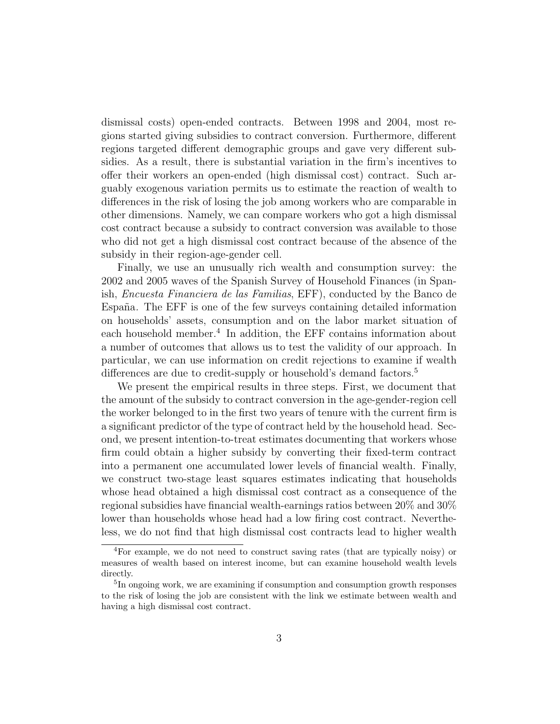dismissal costs) open-ended contracts. Between 1998 and 2004, most regions started giving subsidies to contract conversion. Furthermore, different regions targeted different demographic groups and gave very different subsidies. As a result, there is substantial variation in the firm's incentives to offer their workers an open-ended (high dismissal cost) contract. Such arguably exogenous variation permits us to estimate the reaction of wealth to differences in the risk of losing the job among workers who are comparable in other dimensions. Namely, we can compare workers who got a high dismissal cost contract because a subsidy to contract conversion was available to those who did not get a high dismissal cost contract because of the absence of the subsidy in their region-age-gender cell.

Finally, we use an unusually rich wealth and consumption survey: the 2002 and 2005 waves of the Spanish Survey of Household Finances (in Spanish, Encuesta Financiera de las Familias, EFF), conducted by the Banco de España. The EFF is one of the few surveys containing detailed information on households' assets, consumption and on the labor market situation of each household member.<sup>4</sup> In addition, the EFF contains information about a number of outcomes that allows us to test the validity of our approach. In particular, we can use information on credit rejections to examine if wealth differences are due to credit-supply or household's demand factors.<sup>5</sup>

We present the empirical results in three steps. First, we document that the amount of the subsidy to contract conversion in the age-gender-region cell the worker belonged to in the first two years of tenure with the current firm is a significant predictor of the type of contract held by the household head. Second, we present intention-to-treat estimates documenting that workers whose firm could obtain a higher subsidy by converting their fixed-term contract into a permanent one accumulated lower levels of financial wealth. Finally, we construct two-stage least squares estimates indicating that households whose head obtained a high dismissal cost contract as a consequence of the regional subsidies have financial wealth-earnings ratios between 20% and 30% lower than households whose head had a low firing cost contract. Nevertheless, we do not find that high dismissal cost contracts lead to higher wealth

<sup>4</sup>For example, we do not need to construct saving rates (that are typically noisy) or measures of wealth based on interest income, but can examine household wealth levels directly.

<sup>&</sup>lt;sup>5</sup>In ongoing work, we are examining if consumption and consumption growth responses to the risk of losing the job are consistent with the link we estimate between wealth and having a high dismissal cost contract.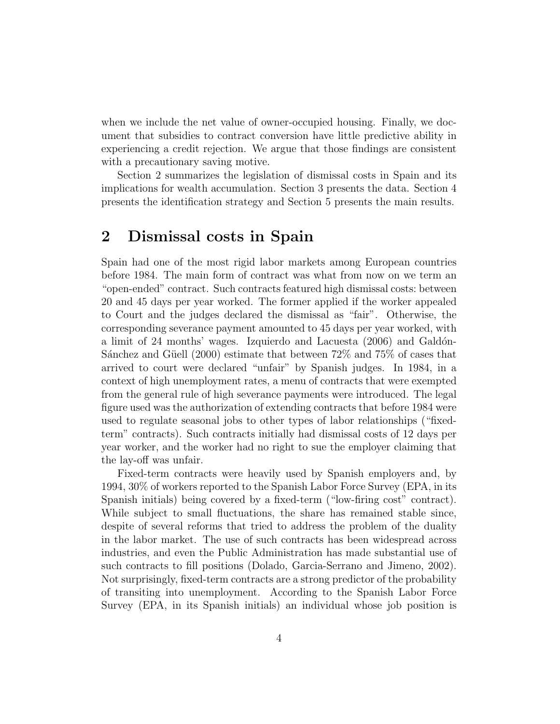when we include the net value of owner-occupied housing. Finally, we document that subsidies to contract conversion have little predictive ability in experiencing a credit rejection. We argue that those findings are consistent with a precautionary saving motive.

Section 2 summarizes the legislation of dismissal costs in Spain and its implications for wealth accumulation. Section 3 presents the data. Section 4 presents the identification strategy and Section 5 presents the main results.

## 2 Dismissal costs in Spain

Spain had one of the most rigid labor markets among European countries before 1984. The main form of contract was what from now on we term an "open-ended" contract. Such contracts featured high dismissal costs: between 20 and 45 days per year worked. The former applied if the worker appealed to Court and the judges declared the dismissal as "fair". Otherwise, the corresponding severance payment amounted to 45 days per year worked, with a limit of  $24$  months' wages. Izquierdo and Lacuesta  $(2006)$  and Galdon-Sánchez and Güell (2000) estimate that between  $72\%$  and  $75\%$  of cases that arrived to court were declared "unfair" by Spanish judges. In 1984, in a context of high unemployment rates, a menu of contracts that were exempted from the general rule of high severance payments were introduced. The legal figure used was the authorization of extending contracts that before 1984 were used to regulate seasonal jobs to other types of labor relationships ("fixedterm" contracts). Such contracts initially had dismissal costs of 12 days per year worker, and the worker had no right to sue the employer claiming that the lay-off was unfair.

Fixed-term contracts were heavily used by Spanish employers and, by 1994, 30% of workers reported to the Spanish Labor Force Survey (EPA, in its Spanish initials) being covered by a fixed-term ("low-firing cost" contract). While subject to small fluctuations, the share has remained stable since, despite of several reforms that tried to address the problem of the duality in the labor market. The use of such contracts has been widespread across industries, and even the Public Administration has made substantial use of such contracts to fill positions (Dolado, Garcia-Serrano and Jimeno, 2002). Not surprisingly, fixed-term contracts are a strong predictor of the probability of transiting into unemployment. According to the Spanish Labor Force Survey (EPA, in its Spanish initials) an individual whose job position is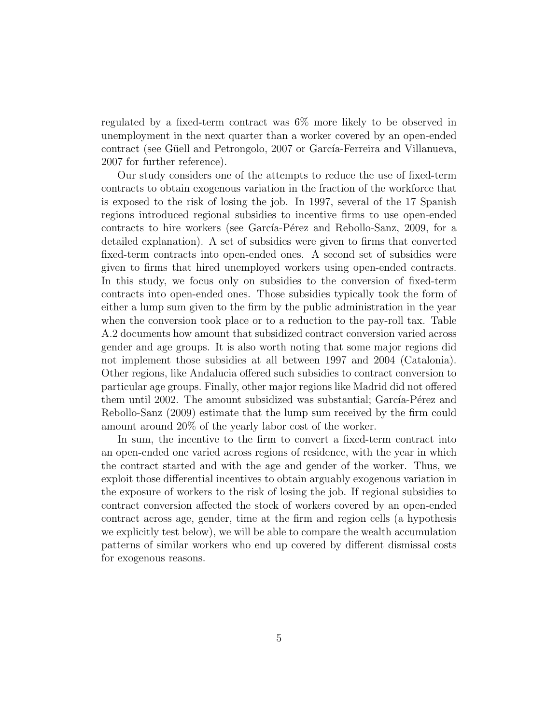regulated by a fixed-term contract was 6% more likely to be observed in unemployment in the next quarter than a worker covered by an open-ended contract (see Güell and Petrongolo, 2007 or García-Ferreira and Villanueva, 2007 for further reference).

Our study considers one of the attempts to reduce the use of fixed-term contracts to obtain exogenous variation in the fraction of the workforce that is exposed to the risk of losing the job. In 1997, several of the 17 Spanish regions introduced regional subsidies to incentive firms to use open-ended contracts to hire workers (see García-Pérez and Rebollo-Sanz, 2009, for a detailed explanation). A set of subsidies were given to firms that converted fixed-term contracts into open-ended ones. A second set of subsidies were given to firms that hired unemployed workers using open-ended contracts. In this study, we focus only on subsidies to the conversion of fixed-term contracts into open-ended ones. Those subsidies typically took the form of either a lump sum given to the firm by the public administration in the year when the conversion took place or to a reduction to the pay-roll tax. Table A.2 documents how amount that subsidized contract conversion varied across gender and age groups. It is also worth noting that some major regions did not implement those subsidies at all between 1997 and 2004 (Catalonia). Other regions, like Andalucia offered such subsidies to contract conversion to particular age groups. Finally, other major regions like Madrid did not offered them until 2002. The amount subsidized was substantial; García-Pérez and Rebollo-Sanz (2009) estimate that the lump sum received by the firm could amount around 20% of the yearly labor cost of the worker.

In sum, the incentive to the firm to convert a fixed-term contract into an open-ended one varied across regions of residence, with the year in which the contract started and with the age and gender of the worker. Thus, we exploit those differential incentives to obtain arguably exogenous variation in the exposure of workers to the risk of losing the job. If regional subsidies to contract conversion affected the stock of workers covered by an open-ended contract across age, gender, time at the firm and region cells (a hypothesis we explicitly test below), we will be able to compare the wealth accumulation patterns of similar workers who end up covered by different dismissal costs for exogenous reasons.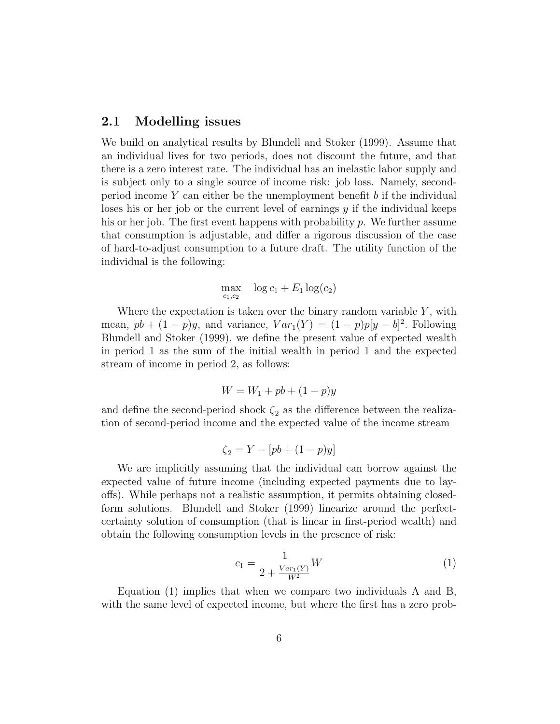### 2.1 Modelling issues

We build on analytical results by Blundell and Stoker (1999). Assume that an individual lives for two periods, does not discount the future, and that there is a zero interest rate. The individual has an inelastic labor supply and is subject only to a single source of income risk: job loss. Namely, secondperiod income  $Y$  can either be the unemployment benefit  $b$  if the individual loses his or her job or the current level of earnings  $y$  if the individual keeps his or her job. The first event happens with probability  $p$ . We further assume that consumption is adjustable, and differ a rigorous discussion of the case of hard-to-adjust consumption to a future draft. The utility function of the individual is the following:

$$
\max_{c_1,c_2} \quad \log c_1 + E_1 \log(c_2)
$$

Where the expectation is taken over the binary random variable  $Y$ , with mean,  $pb + (1 - p)y$ , and variance,  $Var_1(Y) = (1 - p)p[y - b]^2$ . Following Blundell and Stoker (1999), we define the present value of expected wealth in period 1 as the sum of the initial wealth in period 1 and the expected stream of income in period 2, as follows:

$$
W = W_1 + pb + (1 - p)y
$$

and define the second-period shock  $\zeta_2$  as the difference between the realization of second-period income and the expected value of the income stream

$$
\zeta_2 = Y - [pb + (1 - p)y]
$$

We are implicitly assuming that the individual can borrow against the expected value of future income (including expected payments due to layoffs). While perhaps not a realistic assumption, it permits obtaining closedform solutions. Blundell and Stoker (1999) linearize around the perfectcertainty solution of consumption (that is linear in first-period wealth) and obtain the following consumption levels in the presence of risk:

$$
c_1 = \frac{1}{2 + \frac{Var_1(Y)}{W^2}}W
$$
\n(1)

Equation (1) implies that when we compare two individuals A and B, with the same level of expected income, but where the first has a zero prob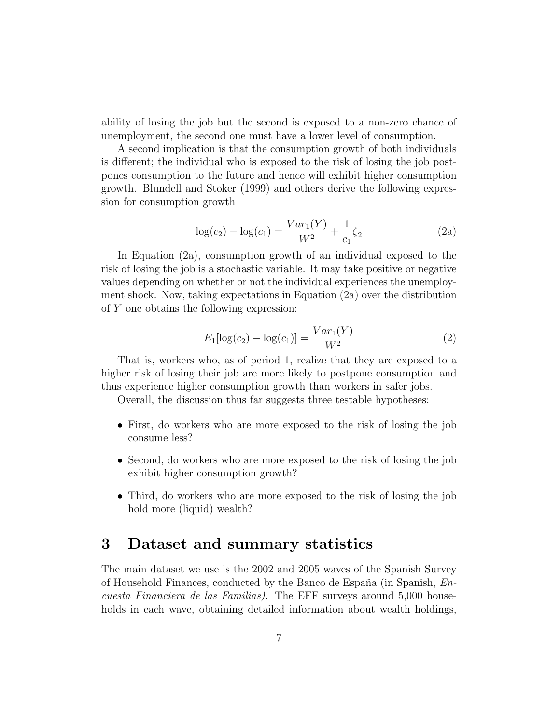ability of losing the job but the second is exposed to a non-zero chance of unemployment, the second one must have a lower level of consumption.

A second implication is that the consumption growth of both individuals is different; the individual who is exposed to the risk of losing the job postpones consumption to the future and hence will exhibit higher consumption growth. Blundell and Stoker (1999) and others derive the following expression for consumption growth

$$
\log(c_2) - \log(c_1) = \frac{Var_1(Y)}{W^2} + \frac{1}{c_1}\zeta_2
$$
 (2a)

In Equation (2a), consumption growth of an individual exposed to the risk of losing the job is a stochastic variable. It may take positive or negative values depending on whether or not the individual experiences the unemployment shock. Now, taking expectations in Equation (2a) over the distribution of Y one obtains the following expression:

$$
E_1[\log(c_2) - \log(c_1)] = \frac{Var_1(Y)}{W^2}
$$
 (2)

That is, workers who, as of period 1, realize that they are exposed to a higher risk of losing their job are more likely to postpone consumption and thus experience higher consumption growth than workers in safer jobs.

Overall, the discussion thus far suggests three testable hypotheses:

- First, do workers who are more exposed to the risk of losing the job consume less?
- Second, do workers who are more exposed to the risk of losing the job exhibit higher consumption growth?
- Third, do workers who are more exposed to the risk of losing the job hold more (liquid) wealth?

## 3 Dataset and summary statistics

The main dataset we use is the 2002 and 2005 waves of the Spanish Survey of Household Finances, conducted by the Banco de España (in Spanish,  $En$ cuesta Financiera de las Familias). The EFF surveys around 5,000 households in each wave, obtaining detailed information about wealth holdings,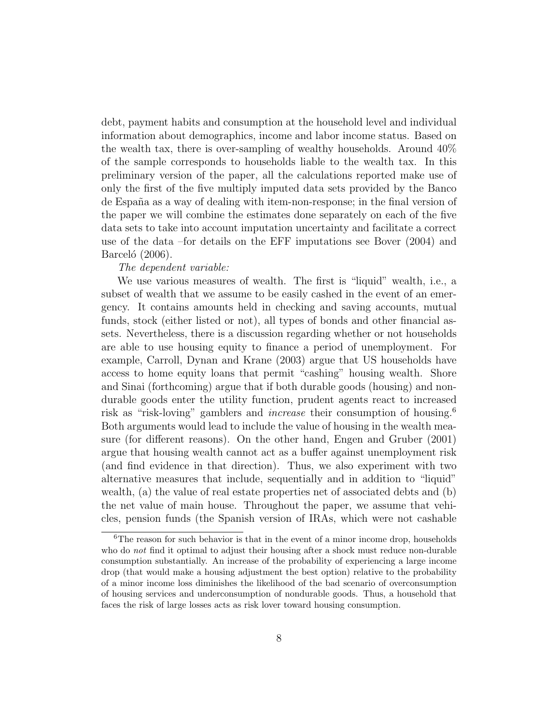debt, payment habits and consumption at the household level and individual information about demographics, income and labor income status. Based on the wealth tax, there is over-sampling of wealthy households. Around 40% of the sample corresponds to households liable to the wealth tax. In this preliminary version of the paper, all the calculations reported make use of only the first of the five multiply imputed data sets provided by the Banco de Espa˜na as a way of dealing with item-non-response; in the final version of the paper we will combine the estimates done separately on each of the five data sets to take into account imputation uncertainty and facilitate a correct use of the data –for details on the EFF imputations see Bover (2004) and Barceló  $(2006)$ .

#### The dependent variable:

We use various measures of wealth. The first is "liquid" wealth, i.e., a subset of wealth that we assume to be easily cashed in the event of an emergency. It contains amounts held in checking and saving accounts, mutual funds, stock (either listed or not), all types of bonds and other financial assets. Nevertheless, there is a discussion regarding whether or not households are able to use housing equity to finance a period of unemployment. For example, Carroll, Dynan and Krane (2003) argue that US households have access to home equity loans that permit "cashing" housing wealth. Shore and Sinai (forthcoming) argue that if both durable goods (housing) and nondurable goods enter the utility function, prudent agents react to increased risk as "risk-loving" gamblers and *increase* their consumption of housing.<sup>6</sup> Both arguments would lead to include the value of housing in the wealth measure (for different reasons). On the other hand, Engen and Gruber (2001) argue that housing wealth cannot act as a buffer against unemployment risk (and find evidence in that direction). Thus, we also experiment with two alternative measures that include, sequentially and in addition to "liquid" wealth, (a) the value of real estate properties net of associated debts and (b) the net value of main house. Throughout the paper, we assume that vehicles, pension funds (the Spanish version of IRAs, which were not cashable

 ${}^{6}$ The reason for such behavior is that in the event of a minor income drop, households who do *not* find it optimal to adjust their housing after a shock must reduce non-durable consumption substantially. An increase of the probability of experiencing a large income drop (that would make a housing adjustment the best option) relative to the probability of a minor income loss diminishes the likelihood of the bad scenario of overconsumption of housing services and underconsumption of nondurable goods. Thus, a household that faces the risk of large losses acts as risk lover toward housing consumption.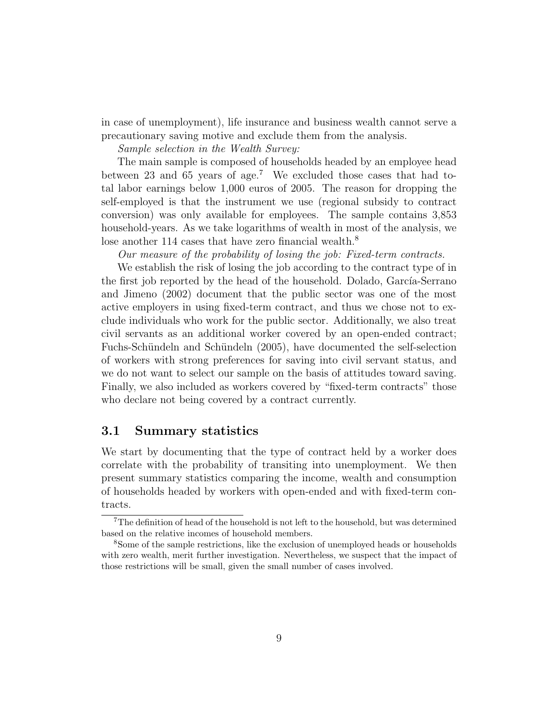in case of unemployment), life insurance and business wealth cannot serve a precautionary saving motive and exclude them from the analysis.

Sample selection in the Wealth Survey:

The main sample is composed of households headed by an employee head between 23 and 65 years of age.<sup>7</sup> We excluded those cases that had total labor earnings below 1,000 euros of 2005. The reason for dropping the self-employed is that the instrument we use (regional subsidy to contract conversion) was only available for employees. The sample contains 3,853 household-years. As we take logarithms of wealth in most of the analysis, we lose another 114 cases that have zero financial wealth.<sup>8</sup>

Our measure of the probability of losing the job: Fixed-term contracts.

We establish the risk of losing the job according to the contract type of in the first job reported by the head of the household. Dolado, García-Serrano and Jimeno (2002) document that the public sector was one of the most active employers in using fixed-term contract, and thus we chose not to exclude individuals who work for the public sector. Additionally, we also treat civil servants as an additional worker covered by an open-ended contract; Fuchs-Schündeln and Schündeln (2005), have documented the self-selection of workers with strong preferences for saving into civil servant status, and we do not want to select our sample on the basis of attitudes toward saving. Finally, we also included as workers covered by "fixed-term contracts" those who declare not being covered by a contract currently.

### 3.1 Summary statistics

We start by documenting that the type of contract held by a worker does correlate with the probability of transiting into unemployment. We then present summary statistics comparing the income, wealth and consumption of households headed by workers with open-ended and with fixed-term contracts.

<sup>7</sup>The definition of head of the household is not left to the household, but was determined based on the relative incomes of household members.

<sup>8</sup>Some of the sample restrictions, like the exclusion of unemployed heads or households with zero wealth, merit further investigation. Nevertheless, we suspect that the impact of those restrictions will be small, given the small number of cases involved.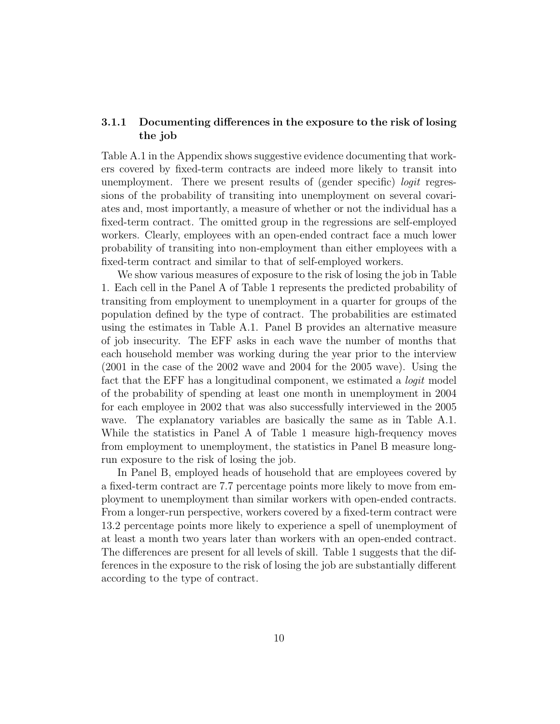### 3.1.1 Documenting differences in the exposure to the risk of losing the job

Table A.1 in the Appendix shows suggestive evidence documenting that workers covered by fixed-term contracts are indeed more likely to transit into unemployment. There we present results of (gender specific) *logit* regressions of the probability of transiting into unemployment on several covariates and, most importantly, a measure of whether or not the individual has a fixed-term contract. The omitted group in the regressions are self-employed workers. Clearly, employees with an open-ended contract face a much lower probability of transiting into non-employment than either employees with a fixed-term contract and similar to that of self-employed workers.

We show various measures of exposure to the risk of losing the job in Table 1. Each cell in the Panel A of Table 1 represents the predicted probability of transiting from employment to unemployment in a quarter for groups of the population defined by the type of contract. The probabilities are estimated using the estimates in Table A.1. Panel B provides an alternative measure of job insecurity. The EFF asks in each wave the number of months that each household member was working during the year prior to the interview (2001 in the case of the 2002 wave and 2004 for the 2005 wave). Using the fact that the EFF has a longitudinal component, we estimated a logit model of the probability of spending at least one month in unemployment in 2004 for each employee in 2002 that was also successfully interviewed in the 2005 wave. The explanatory variables are basically the same as in Table A.1. While the statistics in Panel A of Table 1 measure high-frequency moves from employment to unemployment, the statistics in Panel B measure longrun exposure to the risk of losing the job.

In Panel B, employed heads of household that are employees covered by a fixed-term contract are 7.7 percentage points more likely to move from employment to unemployment than similar workers with open-ended contracts. From a longer-run perspective, workers covered by a fixed-term contract were 13.2 percentage points more likely to experience a spell of unemployment of at least a month two years later than workers with an open-ended contract. The differences are present for all levels of skill. Table 1 suggests that the differences in the exposure to the risk of losing the job are substantially different according to the type of contract.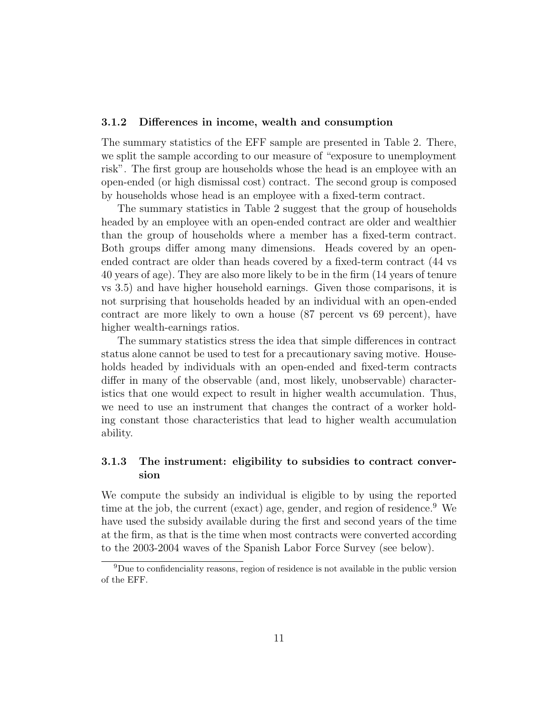#### 3.1.2 Differences in income, wealth and consumption

The summary statistics of the EFF sample are presented in Table 2. There, we split the sample according to our measure of "exposure to unemployment risk". The first group are households whose the head is an employee with an open-ended (or high dismissal cost) contract. The second group is composed by households whose head is an employee with a fixed-term contract.

The summary statistics in Table 2 suggest that the group of households headed by an employee with an open-ended contract are older and wealthier than the group of households where a member has a fixed-term contract. Both groups differ among many dimensions. Heads covered by an openended contract are older than heads covered by a fixed-term contract (44 vs 40 years of age). They are also more likely to be in the firm (14 years of tenure vs 3.5) and have higher household earnings. Given those comparisons, it is not surprising that households headed by an individual with an open-ended contract are more likely to own a house (87 percent vs 69 percent), have higher wealth-earnings ratios.

The summary statistics stress the idea that simple differences in contract status alone cannot be used to test for a precautionary saving motive. Households headed by individuals with an open-ended and fixed-term contracts differ in many of the observable (and, most likely, unobservable) characteristics that one would expect to result in higher wealth accumulation. Thus, we need to use an instrument that changes the contract of a worker holding constant those characteristics that lead to higher wealth accumulation ability.

### 3.1.3 The instrument: eligibility to subsidies to contract conversion

We compute the subsidy an individual is eligible to by using the reported time at the job, the current (exact) age, gender, and region of residence.<sup>9</sup> We have used the subsidy available during the first and second years of the time at the firm, as that is the time when most contracts were converted according to the 2003-2004 waves of the Spanish Labor Force Survey (see below).

<sup>9</sup>Due to confidenciality reasons, region of residence is not available in the public version of the EFF.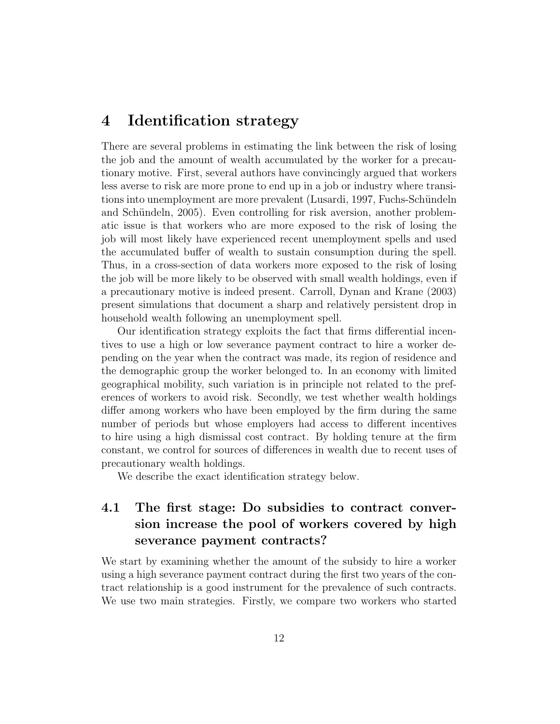## 4 Identification strategy

There are several problems in estimating the link between the risk of losing the job and the amount of wealth accumulated by the worker for a precautionary motive. First, several authors have convincingly argued that workers less averse to risk are more prone to end up in a job or industry where transitions into unemployment are more prevalent (Lusardi, 1997, Fuchs-Schündeln and Schündeln, 2005). Even controlling for risk aversion, another problematic issue is that workers who are more exposed to the risk of losing the job will most likely have experienced recent unemployment spells and used the accumulated buffer of wealth to sustain consumption during the spell. Thus, in a cross-section of data workers more exposed to the risk of losing the job will be more likely to be observed with small wealth holdings, even if a precautionary motive is indeed present. Carroll, Dynan and Krane (2003) present simulations that document a sharp and relatively persistent drop in household wealth following an unemployment spell.

Our identification strategy exploits the fact that firms differential incentives to use a high or low severance payment contract to hire a worker depending on the year when the contract was made, its region of residence and the demographic group the worker belonged to. In an economy with limited geographical mobility, such variation is in principle not related to the preferences of workers to avoid risk. Secondly, we test whether wealth holdings differ among workers who have been employed by the firm during the same number of periods but whose employers had access to different incentives to hire using a high dismissal cost contract. By holding tenure at the firm constant, we control for sources of differences in wealth due to recent uses of precautionary wealth holdings.

We describe the exact identification strategy below.

## 4.1 The first stage: Do subsidies to contract conversion increase the pool of workers covered by high severance payment contracts?

We start by examining whether the amount of the subsidy to hire a worker using a high severance payment contract during the first two years of the contract relationship is a good instrument for the prevalence of such contracts. We use two main strategies. Firstly, we compare two workers who started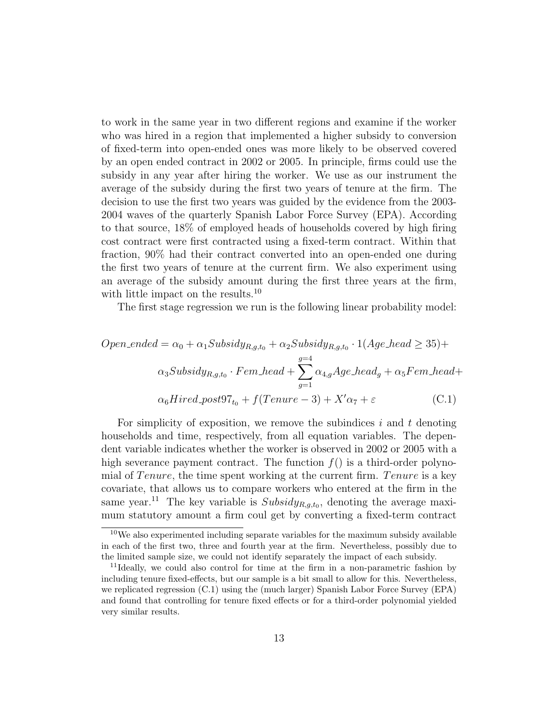to work in the same year in two different regions and examine if the worker who was hired in a region that implemented a higher subsidy to conversion of fixed-term into open-ended ones was more likely to be observed covered by an open ended contract in 2002 or 2005. In principle, firms could use the subsidy in any year after hiring the worker. We use as our instrument the average of the subsidy during the first two years of tenure at the firm. The decision to use the first two years was guided by the evidence from the 2003- 2004 waves of the quarterly Spanish Labor Force Survey (EPA). According to that source, 18% of employed heads of households covered by high firing cost contract were first contracted using a fixed-term contract. Within that fraction, 90% had their contract converted into an open-ended one during the first two years of tenure at the current firm. We also experiment using an average of the subsidy amount during the first three years at the firm, with little impact on the results.<sup>10</sup>

The first stage regression we run is the following linear probability model:

$$
Open\_ended = \alpha_0 + \alpha_1 Subsidy_{R,g,t_0} + \alpha_2 Subsidy_{R,g,t_0} \cdot 1(Age\_head \ge 35) +
$$
  

$$
\alpha_3 Subsidy_{R,g,t_0} \cdot Fem\_head + \sum_{g=1}^{g=4} \alpha_{4,g} Age\_head_g + \alpha_5 Fem\_head +
$$
  

$$
\alpha_6 Hired\_post97_{t_0} + f(Tenure - 3) + X'\alpha_7 + \varepsilon
$$
 (C.1)

For simplicity of exposition, we remove the subindices  $i$  and  $t$  denoting households and time, respectively, from all equation variables. The dependent variable indicates whether the worker is observed in 2002 or 2005 with a high severance payment contract. The function  $f()$  is a third-order polynomial of Tenure, the time spent working at the current firm. Tenure is a key covariate, that allows us to compare workers who entered at the firm in the same year.<sup>11</sup> The key variable is  $Subsidy_{R,g,t_0}$ , denoting the average maximum statutory amount a firm coul get by converting a fixed-term contract

 $10$ We also experimented including separate variables for the maximum subsidy available in each of the first two, three and fourth year at the firm. Nevertheless, possibly due to the limited sample size, we could not identify separately the impact of each subsidy.

<sup>&</sup>lt;sup>11</sup>Ideally, we could also control for time at the firm in a non-parametric fashion by including tenure fixed-effects, but our sample is a bit small to allow for this. Nevertheless, we replicated regression (C.1) using the (much larger) Spanish Labor Force Survey (EPA) and found that controlling for tenure fixed effects or for a third-order polynomial yielded very similar results.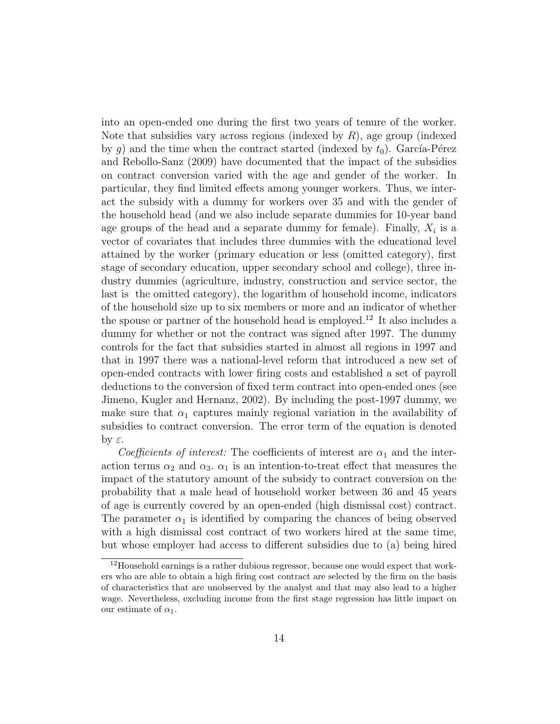into an open-ended one during the first two years of tenure of the worker. Note that subsidies vary across regions (indexed by  $R$ ), age group (indexed by g) and the time when the contract started (indexed by  $t_0$ ). García-Pérez and Rebollo-Sanz (2009) have documented that the impact of the subsidies on contract conversion varied with the age and gender of the worker. In particular, they find limited effects among younger workers. Thus, we interact the subsidy with a dummy for workers over 35 and with the gender of the household head (and we also include separate dummies for 10-year band age groups of the head and a separate dummy for female). Finally,  $X_i$  is a vector of covariates that includes three dummies with the educational level attained by the worker (primary education or less (omitted category), first stage of secondary education, upper secondary school and college), three industry dummies (agriculture, industry, construction and service sector, the last is the omitted category), the logarithm of household income, indicators of the household size up to six members or more and an indicator of whether the spouse or partner of the household head is employed.<sup>12</sup> It also includes a dummy for whether or not the contract was signed after 1997. The dummy controls for the fact that subsidies started in almost all regions in 1997 and that in 1997 there was a national-level reform that introduced a new set of open-ended contracts with lower firing costs and established a set of payroll deductions to the conversion of fixed term contract into open-ended ones (see Jimeno, Kugler and Hernanz, 2002). By including the post-1997 dummy, we make sure that  $\alpha_1$  captures mainly regional variation in the availability of subsidies to contract conversion. The error term of the equation is denoted  $\forall$  ε.

Coefficients of interest: The coefficients of interest are  $\alpha_1$  and the interaction terms  $\alpha_2$  and  $\alpha_3$ .  $\alpha_1$  is an intention-to-treat effect that measures the impact of the statutory amount of the subsidy to contract conversion on the probability that a male head of household worker between 36 and 45 years of age is currently covered by an open-ended (high dismissal cost) contract. The parameter  $\alpha_1$  is identified by comparing the chances of being observed with a high dismissal cost contract of two workers hired at the same time, but whose employer had access to different subsidies due to (a) being hired

 $12$ Household earnings is a rather dubious regressor, because one would expect that workers who are able to obtain a high firing cost contract are selected by the firm on the basis of characteristics that are unobserved by the analyst and that may also lead to a higher wage. Nevertheless, excluding income from the first stage regression has little impact on our estimate of  $\alpha_1$ .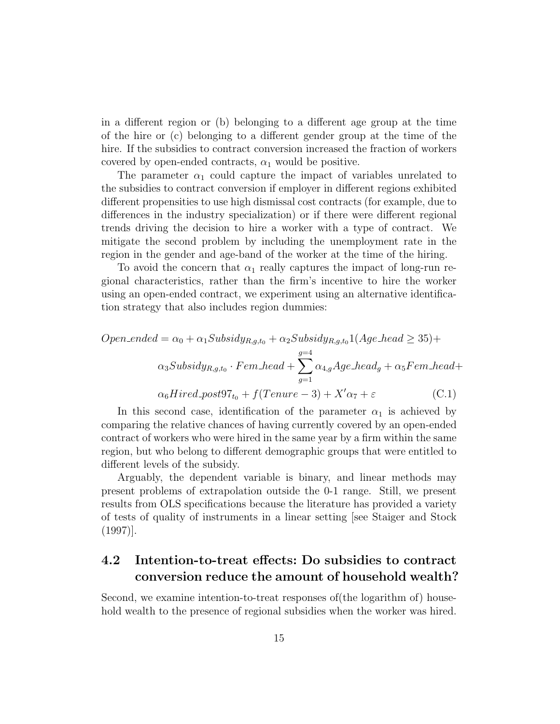in a different region or (b) belonging to a different age group at the time of the hire or (c) belonging to a different gender group at the time of the hire. If the subsidies to contract conversion increased the fraction of workers covered by open-ended contracts,  $\alpha_1$  would be positive.

The parameter  $\alpha_1$  could capture the impact of variables unrelated to the subsidies to contract conversion if employer in different regions exhibited different propensities to use high dismissal cost contracts (for example, due to differences in the industry specialization) or if there were different regional trends driving the decision to hire a worker with a type of contract. We mitigate the second problem by including the unemployment rate in the region in the gender and age-band of the worker at the time of the hiring.

To avoid the concern that  $\alpha_1$  really captures the impact of long-run regional characteristics, rather than the firm's incentive to hire the worker using an open-ended contract, we experiment using an alternative identification strategy that also includes region dummies:

$$
Open\_ended = \alpha_0 + \alpha_1 Subsidy_{R,g,t_0} + \alpha_2 Subsidy_{R,g,t_0} \cdot 1(Age\_head \ge 35) +
$$
  

$$
\alpha_3 Subsidy_{R,g,t_0} \cdot Fem\_head + \sum_{g=1}^{g=4} \alpha_{4,g} Age\_head_g + \alpha_5 Fem\_head +
$$
  

$$
\alpha_6 Hired\_post97_{t_0} + f(Tenure - 3) + X'\alpha_7 + \varepsilon
$$
 (C.1)

In this second case, identification of the parameter  $\alpha_1$  is achieved by comparing the relative chances of having currently covered by an open-ended contract of workers who were hired in the same year by a firm within the same region, but who belong to different demographic groups that were entitled to different levels of the subsidy.

Arguably, the dependent variable is binary, and linear methods may present problems of extrapolation outside the 0-1 range. Still, we present results from OLS specifications because the literature has provided a variety of tests of quality of instruments in a linear setting [see Staiger and Stock (1997)].

## 4.2 Intention-to-treat effects: Do subsidies to contract conversion reduce the amount of household wealth?

Second, we examine intention-to-treat responses of(the logarithm of) household wealth to the presence of regional subsidies when the worker was hired.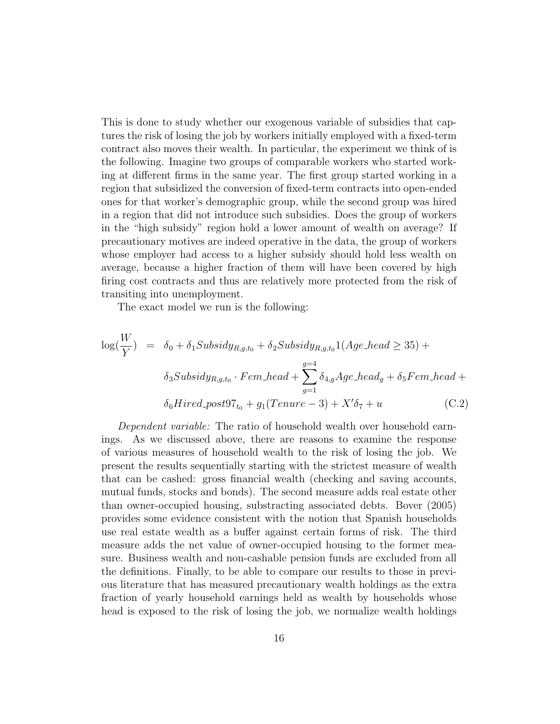This is done to study whether our exogenous variable of subsidies that captures the risk of losing the job by workers initially employed with a fixed-term contract also moves their wealth. In particular, the experiment we think of is the following. Imagine two groups of comparable workers who started working at different firms in the same year. The first group started working in a region that subsidized the conversion of fixed-term contracts into open-ended ones for that worker's demographic group, while the second group was hired in a region that did not introduce such subsidies. Does the group of workers in the "high subsidy" region hold a lower amount of wealth on average? If precautionary motives are indeed operative in the data, the group of workers whose employer had access to a higher subsidy should hold less wealth on average, because a higher fraction of them will have been covered by high firing cost contracts and thus are relatively more protected from the risk of transiting into unemployment.

The exact model we run is the following:

$$
\log(\frac{W}{Y}) = \delta_0 + \delta_1 Subsidy_{R,g,t_0} + \delta_2 Subsidy_{R,g,t_0} \mathbb{1}(Age\_head \geq 35) +
$$
  

$$
\delta_3 Subsidy_{R,g,t_0} \cdot Fem\_head + \sum_{g=1}^{g=4} \delta_{4,g} Age\_head_g + \delta_5 Fem\_head +
$$
  

$$
\delta_6 Hired\_post97_{t_0} + g_1(Tenure - 3) + X'\delta_7 + u \tag{C.2}
$$

Dependent variable: The ratio of household wealth over household earnings. As we discussed above, there are reasons to examine the response of various measures of household wealth to the risk of losing the job. We present the results sequentially starting with the strictest measure of wealth that can be cashed: gross financial wealth (checking and saving accounts, mutual funds, stocks and bonds). The second measure adds real estate other than owner-occupied housing, substracting associated debts. Bover (2005) provides some evidence consistent with the notion that Spanish households use real estate wealth as a buffer against certain forms of risk. The third measure adds the net value of owner-occupied housing to the former measure. Business wealth and non-cashable pension funds are excluded from all the definitions. Finally, to be able to compare our results to those in previous literature that has measured precautionary wealth holdings as the extra fraction of yearly household earnings held as wealth by households whose head is exposed to the risk of losing the job, we normalize wealth holdings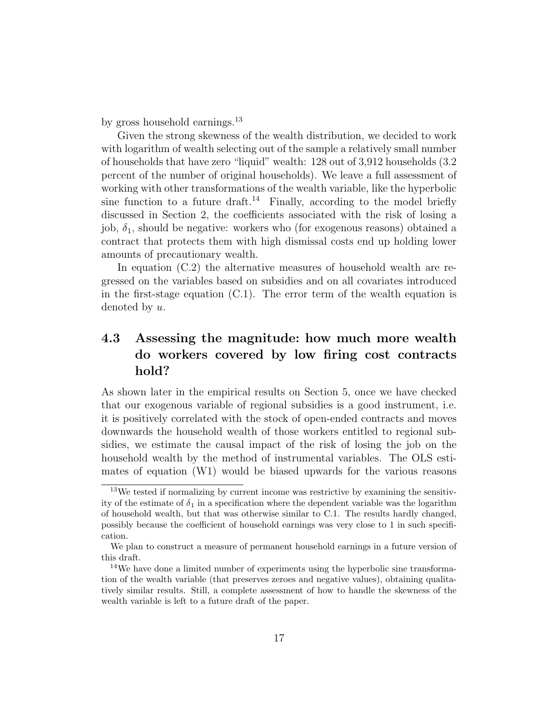by gross household earnings.<sup>13</sup>

Given the strong skewness of the wealth distribution, we decided to work with logarithm of wealth selecting out of the sample a relatively small number of households that have zero "liquid" wealth: 128 out of 3,912 households (3.2 percent of the number of original households). We leave a full assessment of working with other transformations of the wealth variable, like the hyperbolic sine function to a future draft.<sup>14</sup> Finally, according to the model briefly discussed in Section 2, the coefficients associated with the risk of losing a job,  $\delta_1$ , should be negative: workers who (for exogenous reasons) obtained a contract that protects them with high dismissal costs end up holding lower amounts of precautionary wealth.

In equation (C.2) the alternative measures of household wealth are regressed on the variables based on subsidies and on all covariates introduced in the first-stage equation (C.1). The error term of the wealth equation is denoted by u.

## 4.3 Assessing the magnitude: how much more wealth do workers covered by low firing cost contracts hold?

As shown later in the empirical results on Section 5, once we have checked that our exogenous variable of regional subsidies is a good instrument, i.e. it is positively correlated with the stock of open-ended contracts and moves downwards the household wealth of those workers entitled to regional subsidies, we estimate the causal impact of the risk of losing the job on the household wealth by the method of instrumental variables. The OLS estimates of equation (W1) would be biased upwards for the various reasons

<sup>&</sup>lt;sup>13</sup>We tested if normalizing by current income was restrictive by examining the sensitivity of the estimate of  $\delta_1$  in a specification where the dependent variable was the logarithm of household wealth, but that was otherwise similar to C.1. The results hardly changed, possibly because the coefficient of household earnings was very close to 1 in such specification.

We plan to construct a measure of permanent household earnings in a future version of this draft.

<sup>14</sup>We have done a limited number of experiments using the hyperbolic sine transformation of the wealth variable (that preserves zeroes and negative values), obtaining qualitatively similar results. Still, a complete assessment of how to handle the skewness of the wealth variable is left to a future draft of the paper.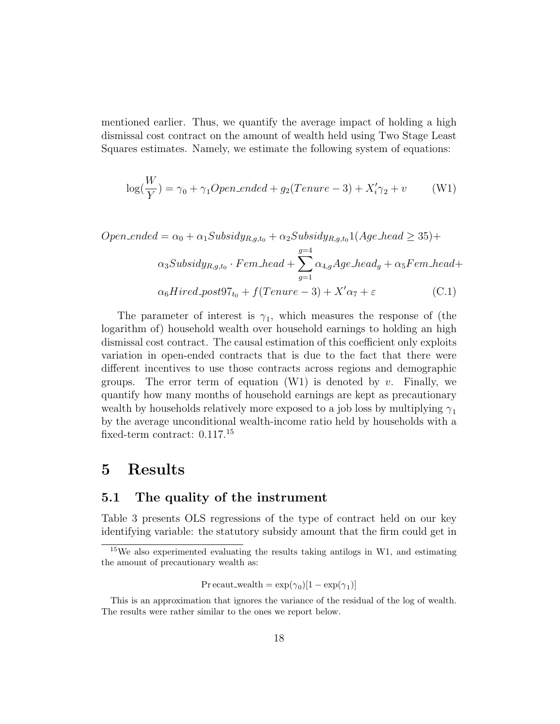mentioned earlier. Thus, we quantify the average impact of holding a high dismissal cost contract on the amount of wealth held using Two Stage Least Squares estimates. Namely, we estimate the following system of equations:

$$
\log(\frac{W}{Y}) = \gamma_0 + \gamma_1 Open\_ended + g_2(Tenure - 3) + X'_i \gamma_2 + v \tag{W1}
$$

$$
Open\_ended = \alpha_0 + \alpha_1 Subsidy_{R,g,t_0} + \alpha_2 Subsidy_{R,g,t_0} \cdot 1(Age\_head \ge 35) +
$$
  

$$
\alpha_3 Subsidy_{R,g,t_0} \cdot Fem\_head + \sum_{g=1}^{g=4} \alpha_{4,g} Age\_head_g + \alpha_5 Fem\_head +
$$
  

$$
\alpha_6 Hired\_post97_{t_0} + f(Tenure - 3) + X'\alpha_7 + \varepsilon
$$
 (C.1)

The parameter of interest is  $\gamma_1$ , which measures the response of (the logarithm of) household wealth over household earnings to holding an high dismissal cost contract. The causal estimation of this coefficient only exploits variation in open-ended contracts that is due to the fact that there were different incentives to use those contracts across regions and demographic groups. The error term of equation  $(W1)$  is denoted by v. Finally, we quantify how many months of household earnings are kept as precautionary wealth by households relatively more exposed to a job loss by multiplying  $\gamma_1$ by the average unconditional wealth-income ratio held by households with a fixed-term contract: 0.117.<sup>15</sup>

## 5 Results

### 5.1 The quality of the instrument

Table 3 presents OLS regressions of the type of contract held on our key identifying variable: the statutory subsidy amount that the firm could get in

$$
Pr\, \text{ecaut\_wealth} = \exp(\gamma_0)[1 - \exp(\gamma_1)]
$$

<sup>&</sup>lt;sup>15</sup>We also experimented evaluating the results taking antilogs in W1, and estimating the amount of precautionary wealth as:

This is an approximation that ignores the variance of the residual of the log of wealth. The results were rather similar to the ones we report below.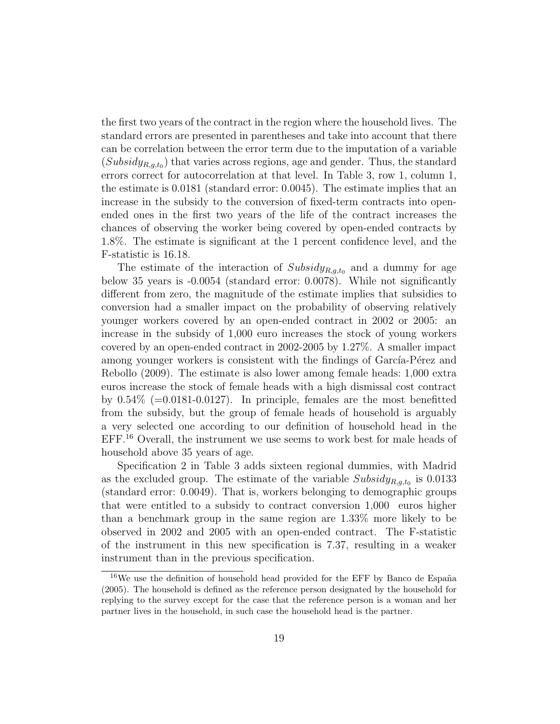the first two years of the contract in the region where the household lives. The standard errors are presented in parentheses and take into account that there can be correlation between the error term due to the imputation of a variable  $(Subsidy_{R,g,t_0})$  that varies across regions, age and gender. Thus, the standard errors correct for autocorrelation at that level. In Table 3, row 1, column 1, the estimate is 0.0181 (standard error: 0.0045). The estimate implies that an increase in the subsidy to the conversion of fixed-term contracts into openended ones in the first two years of the life of the contract increases the chances of observing the worker being covered by open-ended contracts by 1.8%. The estimate is significant at the 1 percent confidence level, and the F-statistic is 16.18.

The estimate of the interaction of  $Subsidy_{R,q,t_0}$  and a dummy for age below 35 years is -0.0054 (standard error: 0.0078). While not significantly different from zero, the magnitude of the estimate implies that subsidies to conversion had a smaller impact on the probability of observing relatively younger workers covered by an open-ended contract in 2002 or 2005: an increase in the subsidy of 1,000 euro increases the stock of young workers covered by an open-ended contract in 2002-2005 by 1.27%. A smaller impact among younger workers is consistent with the findings of García-Pérez and Rebollo (2009). The estimate is also lower among female heads: 1,000 extra euros increase the stock of female heads with a high dismissal cost contract by  $0.54\%$  (=0.0181-0.0127). In principle, females are the most benefitted from the subsidy, but the group of female heads of household is arguably a very selected one according to our definition of household head in the EFF.<sup>16</sup> Overall, the instrument we use seems to work best for male heads of household above 35 years of age.

Specification 2 in Table 3 adds sixteen regional dummies, with Madrid as the excluded group. The estimate of the variable  $Subsidy_{R,g,t_0}$  is 0.0133 (standard error: 0.0049). That is, workers belonging to demographic groups that were entitled to a subsidy to contract conversion 1,000 euros higher than a benchmark group in the same region are 1.33% more likely to be observed in 2002 and 2005 with an open-ended contract. The F-statistic of the instrument in this new specification is 7.37, resulting in a weaker instrument than in the previous specification.

 $16\text{We}$  use the definition of household head provided for the EFF by Banco de España (2005). The household is defined as the reference person designated by the household for replying to the survey except for the case that the reference person is a woman and her partner lives in the household, in such case the household head is the partner.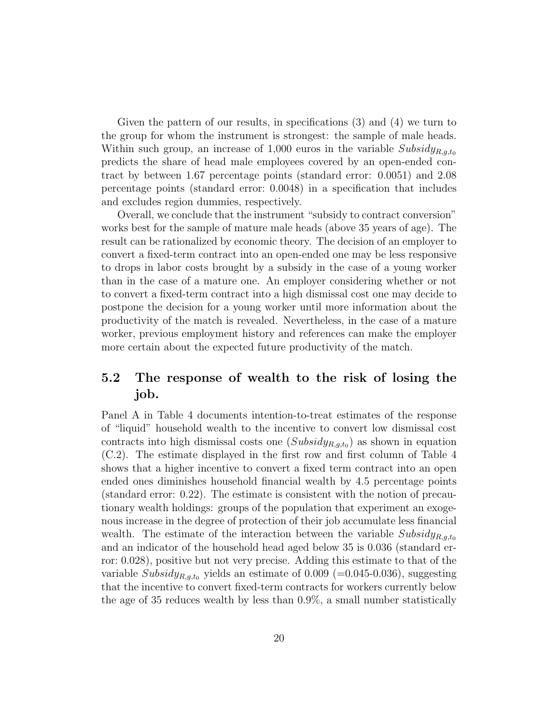Given the pattern of our results, in specifications (3) and (4) we turn to the group for whom the instrument is strongest: the sample of male heads. Within such group, an increase of 1,000 euros in the variable  $Subsidy_{R,g,t_0}$ predicts the share of head male employees covered by an open-ended contract by between 1.67 percentage points (standard error: 0.0051) and 2.08 percentage points (standard error: 0.0048) in a specification that includes and excludes region dummies, respectively.

Overall, we conclude that the instrument "subsidy to contract conversion" works best for the sample of mature male heads (above 35 years of age). The result can be rationalized by economic theory. The decision of an employer to convert a fixed-term contract into an open-ended one may be less responsive to drops in labor costs brought by a subsidy in the case of a young worker than in the case of a mature one. An employer considering whether or not to convert a fixed-term contract into a high dismissal cost one may decide to postpone the decision for a young worker until more information about the productivity of the match is revealed. Nevertheless, in the case of a mature worker, previous employment history and references can make the employer more certain about the expected future productivity of the match.

## 5.2 The response of wealth to the risk of losing the job.

Panel A in Table 4 documents intention-to-treat estimates of the response of "liquid" household wealth to the incentive to convert low dismissal cost contracts into high dismissal costs one  $(Subsidy_{R,g,t_0})$  as shown in equation (C.2). The estimate displayed in the first row and first column of Table 4 shows that a higher incentive to convert a fixed term contract into an open ended ones diminishes household financial wealth by 4.5 percentage points (standard error: 0.22). The estimate is consistent with the notion of precautionary wealth holdings: groups of the population that experiment an exogenous increase in the degree of protection of their job accumulate less financial wealth. The estimate of the interaction between the variable  $Subsidy_{R,q,t_0}$ and an indicator of the household head aged below 35 is 0.036 (standard error: 0.028), positive but not very precise. Adding this estimate to that of the variable Subsidy<sub>R,g,t<sub>0</sub></sub> yields an estimate of 0.009 (=0.045-0.036), suggesting that the incentive to convert fixed-term contracts for workers currently below the age of 35 reduces wealth by less than 0.9%, a small number statistically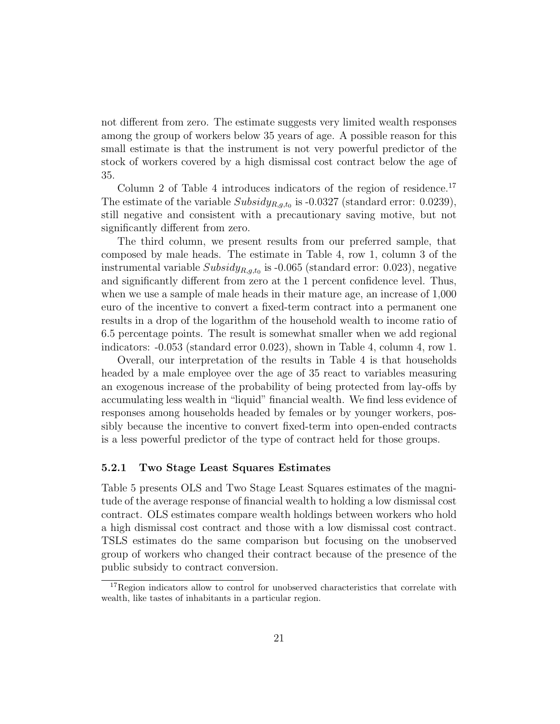not different from zero. The estimate suggests very limited wealth responses among the group of workers below 35 years of age. A possible reason for this small estimate is that the instrument is not very powerful predictor of the stock of workers covered by a high dismissal cost contract below the age of 35.

Column 2 of Table 4 introduces indicators of the region of residence.<sup>17</sup> The estimate of the variable  $Subsidy_{R,g,t_0}$  is -0.0327 (standard error: 0.0239), still negative and consistent with a precautionary saving motive, but not significantly different from zero.

The third column, we present results from our preferred sample, that composed by male heads. The estimate in Table 4, row 1, column 3 of the instrumental variable  $Subsidy_{R,g,t_0}$  is -0.065 (standard error: 0.023), negative and significantly different from zero at the 1 percent confidence level. Thus, when we use a sample of male heads in their mature age, an increase of 1,000 euro of the incentive to convert a fixed-term contract into a permanent one results in a drop of the logarithm of the household wealth to income ratio of 6.5 percentage points. The result is somewhat smaller when we add regional indicators: -0.053 (standard error 0.023), shown in Table 4, column 4, row 1.

Overall, our interpretation of the results in Table 4 is that households headed by a male employee over the age of 35 react to variables measuring an exogenous increase of the probability of being protected from lay-offs by accumulating less wealth in "liquid" financial wealth. We find less evidence of responses among households headed by females or by younger workers, possibly because the incentive to convert fixed-term into open-ended contracts is a less powerful predictor of the type of contract held for those groups.

#### 5.2.1 Two Stage Least Squares Estimates

Table 5 presents OLS and Two Stage Least Squares estimates of the magnitude of the average response of financial wealth to holding a low dismissal cost contract. OLS estimates compare wealth holdings between workers who hold a high dismissal cost contract and those with a low dismissal cost contract. TSLS estimates do the same comparison but focusing on the unobserved group of workers who changed their contract because of the presence of the public subsidy to contract conversion.

 $^{17}\rm{Region}$  indicators allow to control for unobserved characteristics that correlate with wealth, like tastes of inhabitants in a particular region.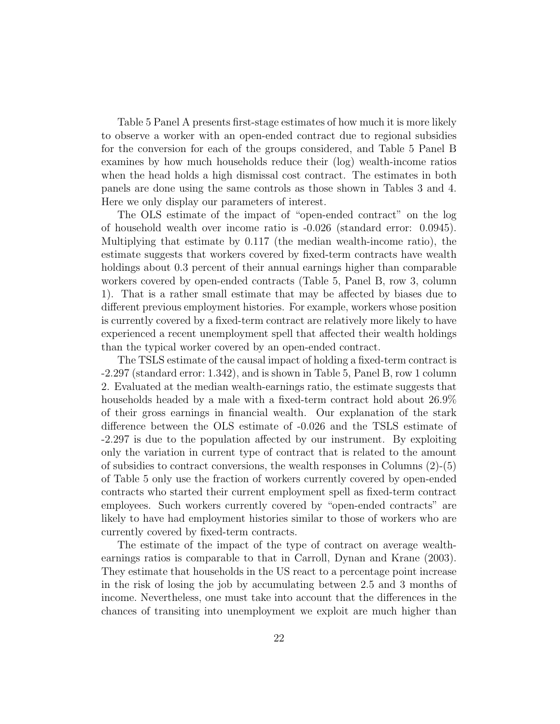Table 5 Panel A presents first-stage estimates of how much it is more likely to observe a worker with an open-ended contract due to regional subsidies for the conversion for each of the groups considered, and Table 5 Panel B examines by how much households reduce their (log) wealth-income ratios when the head holds a high dismissal cost contract. The estimates in both panels are done using the same controls as those shown in Tables 3 and 4. Here we only display our parameters of interest.

The OLS estimate of the impact of "open-ended contract" on the log of household wealth over income ratio is -0.026 (standard error: 0.0945). Multiplying that estimate by 0.117 (the median wealth-income ratio), the estimate suggests that workers covered by fixed-term contracts have wealth holdings about 0.3 percent of their annual earnings higher than comparable workers covered by open-ended contracts (Table 5, Panel B, row 3, column 1). That is a rather small estimate that may be affected by biases due to different previous employment histories. For example, workers whose position is currently covered by a fixed-term contract are relatively more likely to have experienced a recent unemployment spell that affected their wealth holdings than the typical worker covered by an open-ended contract.

The TSLS estimate of the causal impact of holding a fixed-term contract is -2.297 (standard error: 1.342), and is shown in Table 5, Panel B, row 1 column 2. Evaluated at the median wealth-earnings ratio, the estimate suggests that households headed by a male with a fixed-term contract hold about  $26.9\%$ of their gross earnings in financial wealth. Our explanation of the stark difference between the OLS estimate of -0.026 and the TSLS estimate of -2.297 is due to the population affected by our instrument. By exploiting only the variation in current type of contract that is related to the amount of subsidies to contract conversions, the wealth responses in Columns  $(2)-(5)$ of Table 5 only use the fraction of workers currently covered by open-ended contracts who started their current employment spell as fixed-term contract employees. Such workers currently covered by "open-ended contracts" are likely to have had employment histories similar to those of workers who are currently covered by fixed-term contracts.

The estimate of the impact of the type of contract on average wealthearnings ratios is comparable to that in Carroll, Dynan and Krane (2003). They estimate that households in the US react to a percentage point increase in the risk of losing the job by accumulating between 2.5 and 3 months of income. Nevertheless, one must take into account that the differences in the chances of transiting into unemployment we exploit are much higher than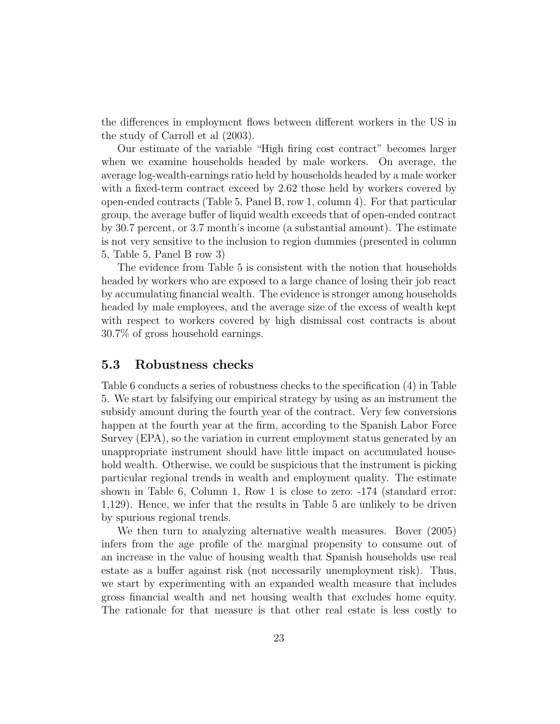the differences in employment flows between different workers in the US in the study of Carroll et al (2003).

Our estimate of the variable "High firing cost contract" becomes larger when we examine households headed by male workers. On average, the average log-wealth-earnings ratio held by households headed by a male worker with a fixed-term contract exceed by 2.62 those held by workers covered by open-ended contracts (Table 5, Panel B, row 1, column 4). For that particular group, the average buffer of liquid wealth exceeds that of open-ended contract by 30.7 percent, or 3.7 month's income (a substantial amount). The estimate is not very sensitive to the inclusion to region dummies (presented in column 5, Table 5, Panel B row 3)

The evidence from Table 5 is consistent with the notion that households headed by workers who are exposed to a large chance of losing their job react by accumulating financial wealth. The evidence is stronger among households headed by male employees, and the average size of the excess of wealth kept with respect to workers covered by high dismissal cost contracts is about 30.7% of gross household earnings.

### 5.3 Robustness checks

Table 6 conducts a series of robustness checks to the specification (4) in Table 5. We start by falsifying our empirical strategy by using as an instrument the subsidy amount during the fourth year of the contract. Very few conversions happen at the fourth year at the firm, according to the Spanish Labor Force Survey (EPA), so the variation in current employment status generated by an unappropriate instrument should have little impact on accumulated household wealth. Otherwise, we could be suspicious that the instrument is picking particular regional trends in wealth and employment quality. The estimate shown in Table 6, Column 1, Row 1 is close to zero: -174 (standard error: 1,129). Hence, we infer that the results in Table 5 are unlikely to be driven by spurious regional trends.

We then turn to analyzing alternative wealth measures. Bover (2005) infers from the age profile of the marginal propensity to consume out of an increase in the value of housing wealth that Spanish households use real estate as a buffer against risk (not necessarily unemployment risk). Thus, we start by experimenting with an expanded wealth measure that includes gross financial wealth and net housing wealth that excludes home equity. The rationale for that measure is that other real estate is less costly to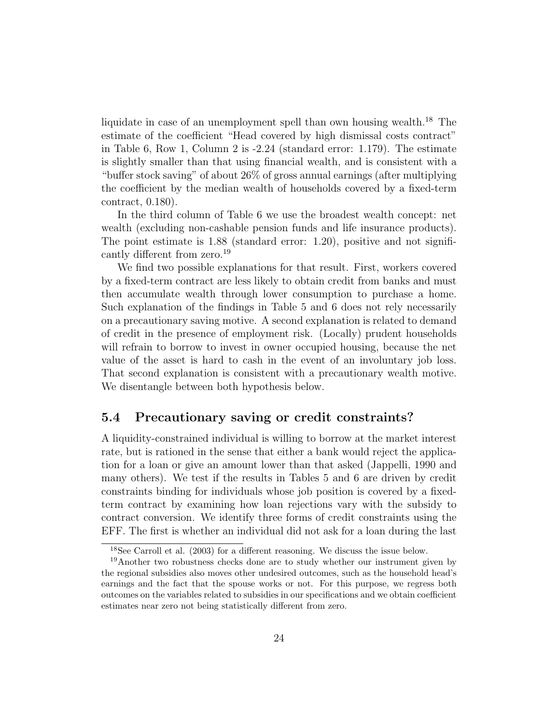liquidate in case of an unemployment spell than own housing wealth.<sup>18</sup> The estimate of the coefficient "Head covered by high dismissal costs contract" in Table 6, Row 1, Column 2 is -2.24 (standard error: 1.179). The estimate is slightly smaller than that using financial wealth, and is consistent with a "buffer stock saving" of about 26% of gross annual earnings (after multiplying the coefficient by the median wealth of households covered by a fixed-term contract, 0.180).

In the third column of Table 6 we use the broadest wealth concept: net wealth (excluding non-cashable pension funds and life insurance products). The point estimate is 1.88 (standard error: 1.20), positive and not significantly different from zero.<sup>19</sup>

We find two possible explanations for that result. First, workers covered by a fixed-term contract are less likely to obtain credit from banks and must then accumulate wealth through lower consumption to purchase a home. Such explanation of the findings in Table 5 and 6 does not rely necessarily on a precautionary saving motive. A second explanation is related to demand of credit in the presence of employment risk. (Locally) prudent households will refrain to borrow to invest in owner occupied housing, because the net value of the asset is hard to cash in the event of an involuntary job loss. That second explanation is consistent with a precautionary wealth motive. We disentangle between both hypothesis below.

### 5.4 Precautionary saving or credit constraints?

A liquidity-constrained individual is willing to borrow at the market interest rate, but is rationed in the sense that either a bank would reject the application for a loan or give an amount lower than that asked (Jappelli, 1990 and many others). We test if the results in Tables 5 and 6 are driven by credit constraints binding for individuals whose job position is covered by a fixedterm contract by examining how loan rejections vary with the subsidy to contract conversion. We identify three forms of credit constraints using the EFF. The first is whether an individual did not ask for a loan during the last

<sup>18</sup>See Carroll et al. (2003) for a different reasoning. We discuss the issue below.

<sup>&</sup>lt;sup>19</sup>Another two robustness checks done are to study whether our instrument given by the regional subsidies also moves other undesired outcomes, such as the household head's earnings and the fact that the spouse works or not. For this purpose, we regress both outcomes on the variables related to subsidies in our specifications and we obtain coefficient estimates near zero not being statistically different from zero.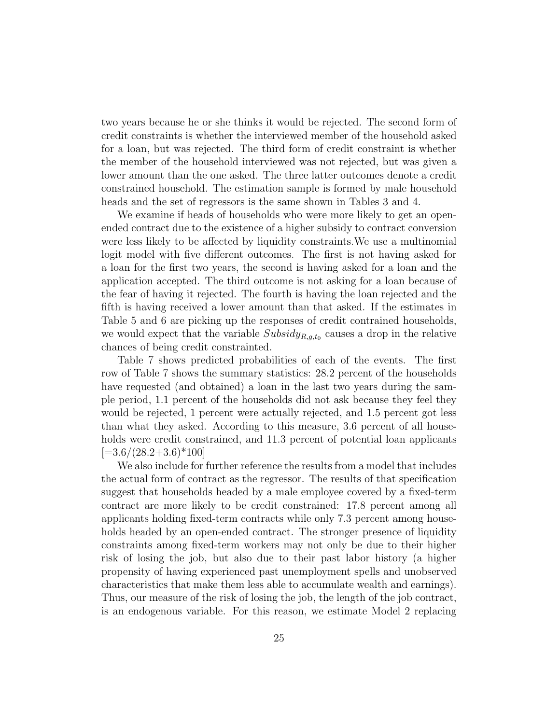two years because he or she thinks it would be rejected. The second form of credit constraints is whether the interviewed member of the household asked for a loan, but was rejected. The third form of credit constraint is whether the member of the household interviewed was not rejected, but was given a lower amount than the one asked. The three latter outcomes denote a credit constrained household. The estimation sample is formed by male household heads and the set of regressors is the same shown in Tables 3 and 4.

We examine if heads of households who were more likely to get an openended contract due to the existence of a higher subsidy to contract conversion were less likely to be affected by liquidity constraints.We use a multinomial logit model with five different outcomes. The first is not having asked for a loan for the first two years, the second is having asked for a loan and the application accepted. The third outcome is not asking for a loan because of the fear of having it rejected. The fourth is having the loan rejected and the fifth is having received a lower amount than that asked. If the estimates in Table 5 and 6 are picking up the responses of credit contrained households, we would expect that the variable  $Subsidy_{R,g,t_0}$  causes a drop in the relative chances of being credit constrainted.

Table 7 shows predicted probabilities of each of the events. The first row of Table 7 shows the summary statistics: 28.2 percent of the households have requested (and obtained) a loan in the last two years during the sample period, 1.1 percent of the households did not ask because they feel they would be rejected, 1 percent were actually rejected, and 1.5 percent got less than what they asked. According to this measure, 3.6 percent of all households were credit constrained, and 11.3 percent of potential loan applicants  $[-3.6/(28.2+3.6)*100]$ 

We also include for further reference the results from a model that includes the actual form of contract as the regressor. The results of that specification suggest that households headed by a male employee covered by a fixed-term contract are more likely to be credit constrained: 17.8 percent among all applicants holding fixed-term contracts while only 7.3 percent among households headed by an open-ended contract. The stronger presence of liquidity constraints among fixed-term workers may not only be due to their higher risk of losing the job, but also due to their past labor history (a higher propensity of having experienced past unemployment spells and unobserved characteristics that make them less able to accumulate wealth and earnings). Thus, our measure of the risk of losing the job, the length of the job contract, is an endogenous variable. For this reason, we estimate Model 2 replacing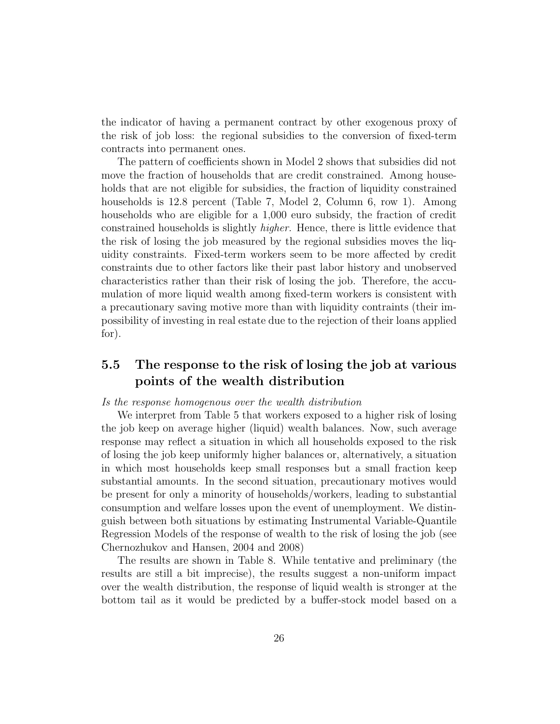the indicator of having a permanent contract by other exogenous proxy of the risk of job loss: the regional subsidies to the conversion of fixed-term contracts into permanent ones.

The pattern of coefficients shown in Model 2 shows that subsidies did not move the fraction of households that are credit constrained. Among households that are not eligible for subsidies, the fraction of liquidity constrained households is 12.8 percent (Table 7, Model 2, Column 6, row 1). Among households who are eligible for a 1,000 euro subsidy, the fraction of credit constrained households is slightly higher. Hence, there is little evidence that the risk of losing the job measured by the regional subsidies moves the liquidity constraints. Fixed-term workers seem to be more affected by credit constraints due to other factors like their past labor history and unobserved characteristics rather than their risk of losing the job. Therefore, the accumulation of more liquid wealth among fixed-term workers is consistent with a precautionary saving motive more than with liquidity contraints (their impossibility of investing in real estate due to the rejection of their loans applied for).

## 5.5 The response to the risk of losing the job at various points of the wealth distribution

#### Is the response homogenous over the wealth distribution

We interpret from Table 5 that workers exposed to a higher risk of losing the job keep on average higher (liquid) wealth balances. Now, such average response may reflect a situation in which all households exposed to the risk of losing the job keep uniformly higher balances or, alternatively, a situation in which most households keep small responses but a small fraction keep substantial amounts. In the second situation, precautionary motives would be present for only a minority of households/workers, leading to substantial consumption and welfare losses upon the event of unemployment. We distinguish between both situations by estimating Instrumental Variable-Quantile Regression Models of the response of wealth to the risk of losing the job (see Chernozhukov and Hansen, 2004 and 2008)

The results are shown in Table 8. While tentative and preliminary (the results are still a bit imprecise), the results suggest a non-uniform impact over the wealth distribution, the response of liquid wealth is stronger at the bottom tail as it would be predicted by a buffer-stock model based on a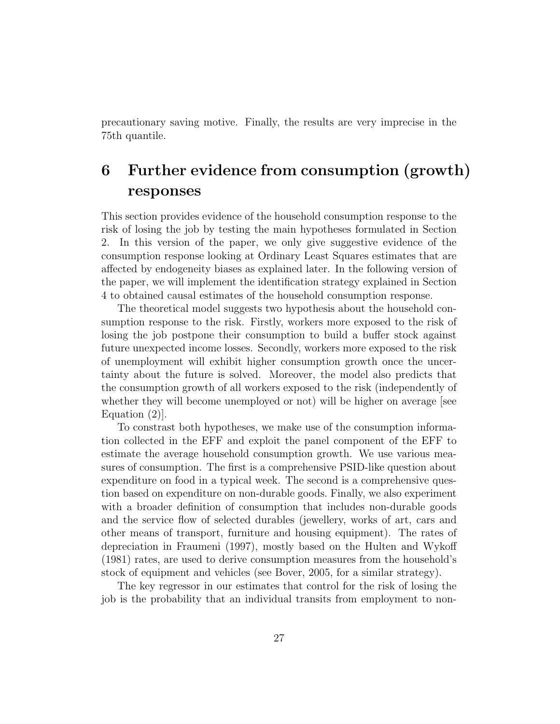precautionary saving motive. Finally, the results are very imprecise in the 75th quantile.

## 6 Further evidence from consumption (growth) responses

This section provides evidence of the household consumption response to the risk of losing the job by testing the main hypotheses formulated in Section 2. In this version of the paper, we only give suggestive evidence of the consumption response looking at Ordinary Least Squares estimates that are affected by endogeneity biases as explained later. In the following version of the paper, we will implement the identification strategy explained in Section 4 to obtained causal estimates of the household consumption response.

The theoretical model suggests two hypothesis about the household consumption response to the risk. Firstly, workers more exposed to the risk of losing the job postpone their consumption to build a buffer stock against future unexpected income losses. Secondly, workers more exposed to the risk of unemployment will exhibit higher consumption growth once the uncertainty about the future is solved. Moreover, the model also predicts that the consumption growth of all workers exposed to the risk (independently of whether they will become unemployed or not) will be higher on average [see Equation (2)].

To constrast both hypotheses, we make use of the consumption information collected in the EFF and exploit the panel component of the EFF to estimate the average household consumption growth. We use various measures of consumption. The first is a comprehensive PSID-like question about expenditure on food in a typical week. The second is a comprehensive question based on expenditure on non-durable goods. Finally, we also experiment with a broader definition of consumption that includes non-durable goods and the service flow of selected durables (jewellery, works of art, cars and other means of transport, furniture and housing equipment). The rates of depreciation in Fraumeni (1997), mostly based on the Hulten and Wykoff (1981) rates, are used to derive consumption measures from the household's stock of equipment and vehicles (see Bover, 2005, for a similar strategy).

The key regressor in our estimates that control for the risk of losing the job is the probability that an individual transits from employment to non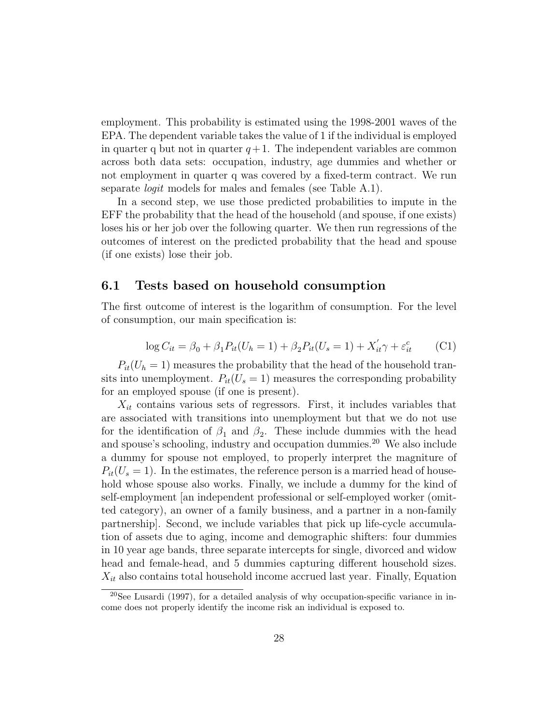employment. This probability is estimated using the 1998-2001 waves of the EPA. The dependent variable takes the value of 1 if the individual is employed in quarter q but not in quarter  $q+1$ . The independent variables are common across both data sets: occupation, industry, age dummies and whether or not employment in quarter q was covered by a fixed-term contract. We run separate *logit* models for males and females (see Table A.1).

In a second step, we use those predicted probabilities to impute in the EFF the probability that the head of the household (and spouse, if one exists) loses his or her job over the following quarter. We then run regressions of the outcomes of interest on the predicted probability that the head and spouse (if one exists) lose their job.

### 6.1 Tests based on household consumption

The first outcome of interest is the logarithm of consumption. For the level of consumption, our main specification is:

$$
\log C_{it} = \beta_0 + \beta_1 P_{it}(U_h = 1) + \beta_2 P_{it}(U_s = 1) + X'_{it}\gamma + \varepsilon^c_{it} \tag{C1}
$$

 $P_{it}(U_h = 1)$  measures the probability that the head of the household transits into unemployment.  $P_{it}(U_s = 1)$  measures the corresponding probability for an employed spouse (if one is present).

 $X_{it}$  contains various sets of regressors. First, it includes variables that are associated with transitions into unemployment but that we do not use for the identification of  $\beta_1$  and  $\beta_2$ . These include dummies with the head and spouse's schooling, industry and occupation dummies.<sup>20</sup> We also include a dummy for spouse not employed, to properly interpret the magniture of  $P_{it}(U_s = 1)$ . In the estimates, the reference person is a married head of household whose spouse also works. Finally, we include a dummy for the kind of self-employment [an independent professional or self-employed worker (omitted category), an owner of a family business, and a partner in a non-family partnership]. Second, we include variables that pick up life-cycle accumulation of assets due to aging, income and demographic shifters: four dummies in 10 year age bands, three separate intercepts for single, divorced and widow head and female-head, and 5 dummies capturing different household sizes.  $X_{it}$  also contains total household income accrued last year. Finally, Equation

 $20$ See Lusardi (1997), for a detailed analysis of why occupation-specific variance in income does not properly identify the income risk an individual is exposed to.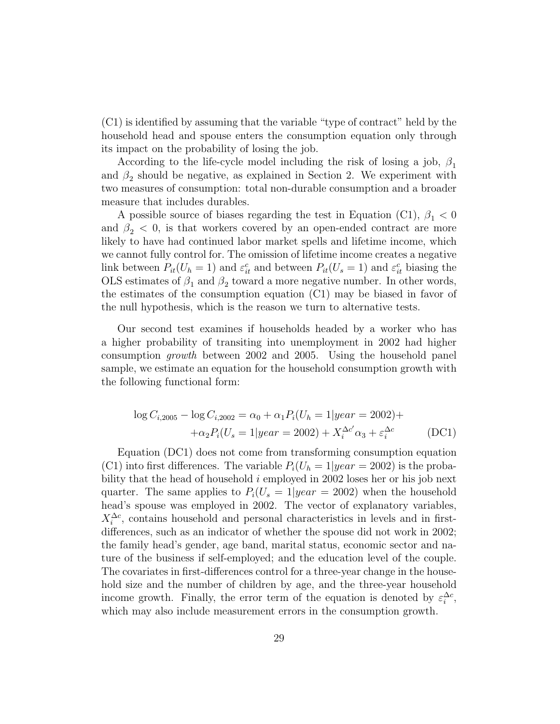(C1) is identified by assuming that the variable "type of contract" held by the household head and spouse enters the consumption equation only through its impact on the probability of losing the job.

According to the life-cycle model including the risk of losing a job,  $\beta_1$ and  $\beta_2$  should be negative, as explained in Section 2. We experiment with two measures of consumption: total non-durable consumption and a broader measure that includes durables.

A possible source of biases regarding the test in Equation (C1),  $\beta_1 < 0$ and  $\beta_2$  < 0, is that workers covered by an open-ended contract are more likely to have had continued labor market spells and lifetime income, which we cannot fully control for. The omission of lifetime income creates a negative link between  $P_{it}(U_h = 1)$  and  $\varepsilon_{it}^c$  and between  $P_{it}(U_s = 1)$  and  $\varepsilon_{it}^c$  biasing the OLS estimates of  $\beta_1$  and  $\beta_2$  toward a more negative number. In other words, the estimates of the consumption equation (C1) may be biased in favor of the null hypothesis, which is the reason we turn to alternative tests.

Our second test examines if households headed by a worker who has a higher probability of transiting into unemployment in 2002 had higher consumption growth between 2002 and 2005. Using the household panel sample, we estimate an equation for the household consumption growth with the following functional form:

$$
\log C_{i,2005} - \log C_{i,2002} = \alpha_0 + \alpha_1 P_i (U_h = 1 | year = 2002) +
$$
  
 
$$
+ \alpha_2 P_i (U_s = 1 | year = 2002) + X_i^{\Delta c'} \alpha_3 + \varepsilon_i^{\Delta c}
$$
 (DC1)

Equation (DC1) does not come from transforming consumption equation (C1) into first differences. The variable  $P_i(U_h = 1|year = 2002)$  is the probability that the head of household i employed in 2002 loses her or his job next quarter. The same applies to  $P_i(U_s = 1|year = 2002)$  when the household head's spouse was employed in 2002. The vector of explanatory variables,  $X_i^{\Delta c}$ , contains household and personal characteristics in levels and in firstdifferences, such as an indicator of whether the spouse did not work in 2002; the family head's gender, age band, marital status, economic sector and nature of the business if self-employed; and the education level of the couple. The covariates in first-differences control for a three-year change in the household size and the number of children by age, and the three-year household income growth. Finally, the error term of the equation is denoted by  $\varepsilon_i^{\Delta c}$ , which may also include measurement errors in the consumption growth.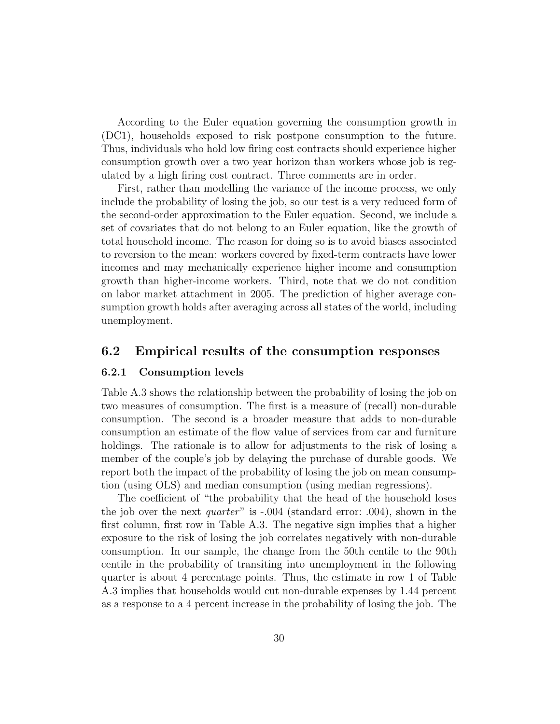According to the Euler equation governing the consumption growth in (DC1), households exposed to risk postpone consumption to the future. Thus, individuals who hold low firing cost contracts should experience higher consumption growth over a two year horizon than workers whose job is regulated by a high firing cost contract. Three comments are in order.

First, rather than modelling the variance of the income process, we only include the probability of losing the job, so our test is a very reduced form of the second-order approximation to the Euler equation. Second, we include a set of covariates that do not belong to an Euler equation, like the growth of total household income. The reason for doing so is to avoid biases associated to reversion to the mean: workers covered by fixed-term contracts have lower incomes and may mechanically experience higher income and consumption growth than higher-income workers. Third, note that we do not condition on labor market attachment in 2005. The prediction of higher average consumption growth holds after averaging across all states of the world, including unemployment.

### 6.2 Empirical results of the consumption responses

#### 6.2.1 Consumption levels

Table A.3 shows the relationship between the probability of losing the job on two measures of consumption. The first is a measure of (recall) non-durable consumption. The second is a broader measure that adds to non-durable consumption an estimate of the flow value of services from car and furniture holdings. The rationale is to allow for adjustments to the risk of losing a member of the couple's job by delaying the purchase of durable goods. We report both the impact of the probability of losing the job on mean consumption (using OLS) and median consumption (using median regressions).

The coefficient of "the probability that the head of the household loses the job over the next quarter" is -.004 (standard error: .004), shown in the first column, first row in Table A.3. The negative sign implies that a higher exposure to the risk of losing the job correlates negatively with non-durable consumption. In our sample, the change from the 50th centile to the 90th centile in the probability of transiting into unemployment in the following quarter is about 4 percentage points. Thus, the estimate in row 1 of Table A.3 implies that households would cut non-durable expenses by 1.44 percent as a response to a 4 percent increase in the probability of losing the job. The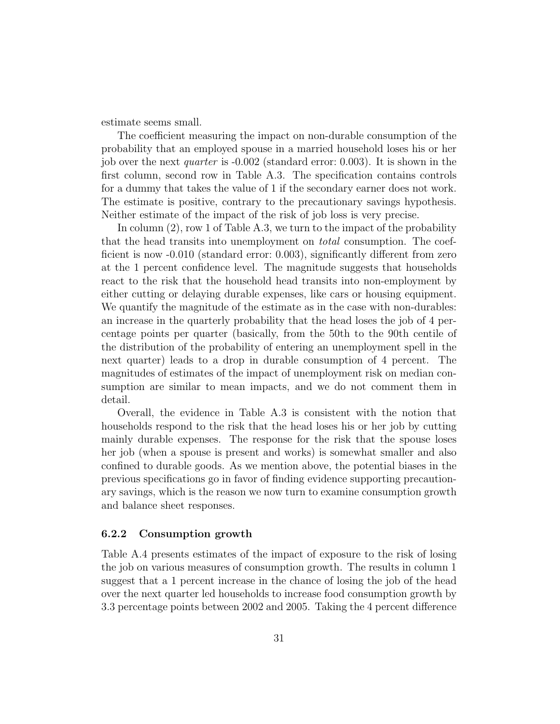estimate seems small.

The coefficient measuring the impact on non-durable consumption of the probability that an employed spouse in a married household loses his or her job over the next quarter is -0.002 (standard error: 0.003). It is shown in the first column, second row in Table A.3. The specification contains controls for a dummy that takes the value of 1 if the secondary earner does not work. The estimate is positive, contrary to the precautionary savings hypothesis. Neither estimate of the impact of the risk of job loss is very precise.

In column  $(2)$ , row 1 of Table A.3, we turn to the impact of the probability that the head transits into unemployment on total consumption. The coefficient is now -0.010 (standard error: 0.003), significantly different from zero at the 1 percent confidence level. The magnitude suggests that households react to the risk that the household head transits into non-employment by either cutting or delaying durable expenses, like cars or housing equipment. We quantify the magnitude of the estimate as in the case with non-durables: an increase in the quarterly probability that the head loses the job of 4 percentage points per quarter (basically, from the 50th to the 90th centile of the distribution of the probability of entering an unemployment spell in the next quarter) leads to a drop in durable consumption of 4 percent. The magnitudes of estimates of the impact of unemployment risk on median consumption are similar to mean impacts, and we do not comment them in detail.

Overall, the evidence in Table A.3 is consistent with the notion that households respond to the risk that the head loses his or her job by cutting mainly durable expenses. The response for the risk that the spouse loses her job (when a spouse is present and works) is somewhat smaller and also confined to durable goods. As we mention above, the potential biases in the previous specifications go in favor of finding evidence supporting precautionary savings, which is the reason we now turn to examine consumption growth and balance sheet responses.

#### 6.2.2 Consumption growth

Table A.4 presents estimates of the impact of exposure to the risk of losing the job on various measures of consumption growth. The results in column 1 suggest that a 1 percent increase in the chance of losing the job of the head over the next quarter led households to increase food consumption growth by 3.3 percentage points between 2002 and 2005. Taking the 4 percent difference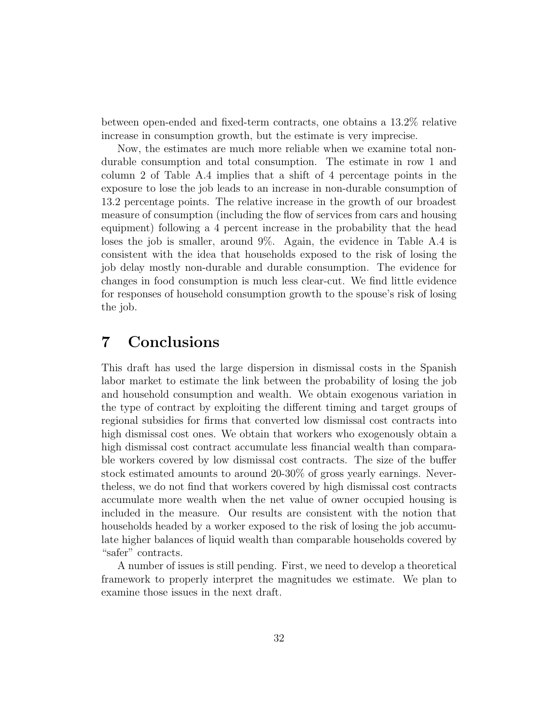between open-ended and fixed-term contracts, one obtains a 13.2% relative increase in consumption growth, but the estimate is very imprecise.

Now, the estimates are much more reliable when we examine total nondurable consumption and total consumption. The estimate in row 1 and column 2 of Table A.4 implies that a shift of 4 percentage points in the exposure to lose the job leads to an increase in non-durable consumption of 13.2 percentage points. The relative increase in the growth of our broadest measure of consumption (including the flow of services from cars and housing equipment) following a 4 percent increase in the probability that the head loses the job is smaller, around 9%. Again, the evidence in Table A.4 is consistent with the idea that households exposed to the risk of losing the job delay mostly non-durable and durable consumption. The evidence for changes in food consumption is much less clear-cut. We find little evidence for responses of household consumption growth to the spouse's risk of losing the job.

## 7 Conclusions

This draft has used the large dispersion in dismissal costs in the Spanish labor market to estimate the link between the probability of losing the job and household consumption and wealth. We obtain exogenous variation in the type of contract by exploiting the different timing and target groups of regional subsidies for firms that converted low dismissal cost contracts into high dismissal cost ones. We obtain that workers who exogenously obtain a high dismissal cost contract accumulate less financial wealth than comparable workers covered by low dismissal cost contracts. The size of the buffer stock estimated amounts to around 20-30% of gross yearly earnings. Nevertheless, we do not find that workers covered by high dismissal cost contracts accumulate more wealth when the net value of owner occupied housing is included in the measure. Our results are consistent with the notion that households headed by a worker exposed to the risk of losing the job accumulate higher balances of liquid wealth than comparable households covered by "safer" contracts.

A number of issues is still pending. First, we need to develop a theoretical framework to properly interpret the magnitudes we estimate. We plan to examine those issues in the next draft.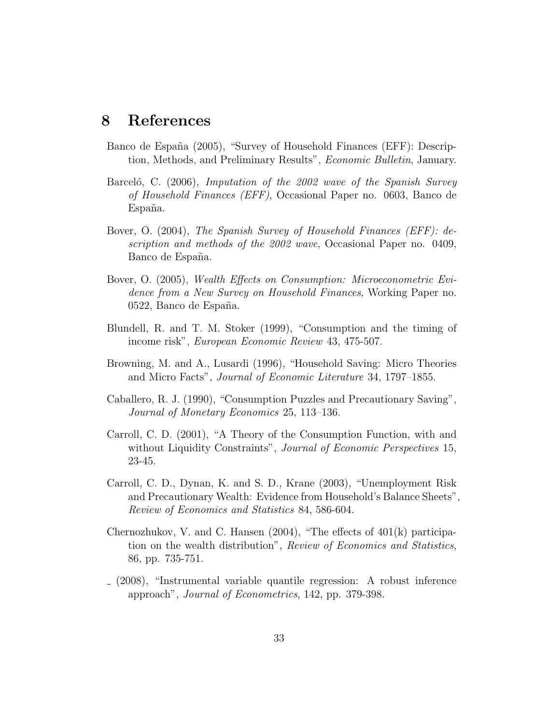## 8 References

- Banco de España (2005), "Survey of Household Finances (EFF): Description, Methods, and Preliminary Results", Economic Bulletin, January.
- Barceló, C. (2006), *Imputation of the 2002 wave of the Spanish Survey* of Household Finances (EFF), Occasional Paper no. 0603, Banco de España.
- Bover, O. (2004), The Spanish Survey of Household Finances (EFF): description and methods of the 2002 wave, Occasional Paper no. 0409, Banco de España.
- Bover, O. (2005), Wealth Effects on Consumption: Microeconometric Evidence from a New Survey on Household Finances, Working Paper no. 0522, Banco de España.
- Blundell, R. and T. M. Stoker (1999), "Consumption and the timing of income risk", European Economic Review 43, 475-507.
- Browning, M. and A., Lusardi (1996), "Household Saving: Micro Theories and Micro Facts", Journal of Economic Literature 34, 1797–1855.
- Caballero, R. J. (1990), "Consumption Puzzles and Precautionary Saving", Journal of Monetary Economics 25, 113–136.
- Carroll, C. D. (2001), "A Theory of the Consumption Function, with and without Liquidity Constraints", Journal of Economic Perspectives 15, 23-45.
- Carroll, C. D., Dynan, K. and S. D., Krane (2003), "Unemployment Risk and Precautionary Wealth: Evidence from Household's Balance Sheets", Review of Economics and Statistics 84, 586-604.
- Chernozhukov, V. and C. Hansen (2004), "The effects of 401(k) participation on the wealth distribution", Review of Economics and Statistics, 86, pp. 735-751.
- (2008), "Instrumental variable quantile regression: A robust inference approach", Journal of Econometrics, 142, pp. 379-398.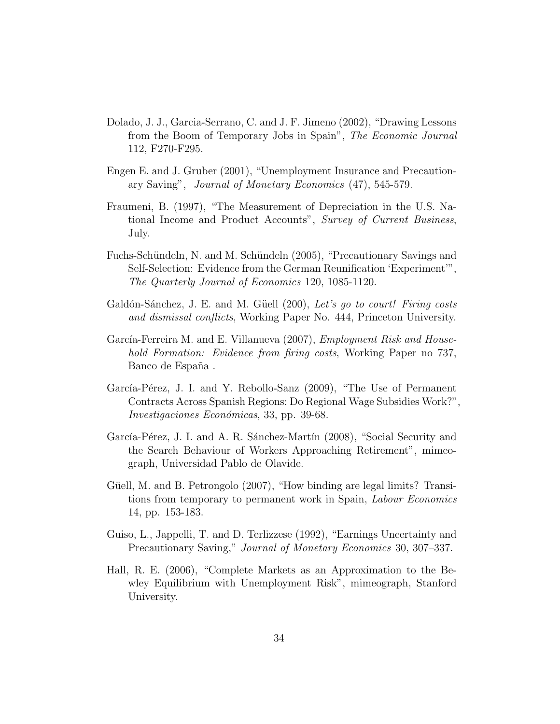- Dolado, J. J., Garcia-Serrano, C. and J. F. Jimeno (2002), "Drawing Lessons from the Boom of Temporary Jobs in Spain", The Economic Journal 112, F270-F295.
- Engen E. and J. Gruber (2001), "Unemployment Insurance and Precautionary Saving", Journal of Monetary Economics (47), 545-579.
- Fraumeni, B. (1997), "The Measurement of Depreciation in the U.S. National Income and Product Accounts", Survey of Current Business, July.
- Fuchs-Schündeln, N. and M. Schündeln (2005), "Precautionary Savings and Self-Selection: Evidence from the German Reunification 'Experiment'", The Quarterly Journal of Economics 120, 1085-1120.
- Galdón-Sánchez, J. E. and M. Güell (200), Let's go to court! Firing costs and dismissal conflicts, Working Paper No. 444, Princeton University.
- García-Ferreira M. and E. Villanueva (2007), *Employment Risk and House*hold Formation: Evidence from firing costs, Working Paper no 737, Banco de España.
- García-Pérez, J. I. and Y. Rebollo-Sanz (2009), "The Use of Permanent Contracts Across Spanish Regions: Do Regional Wage Subsidies Work?", Investigaciones Económicas, 33, pp. 39-68.
- García-Pérez, J. I. and A. R. Sánchez-Martín (2008), "Social Security and the Search Behaviour of Workers Approaching Retirement", mimeograph, Universidad Pablo de Olavide.
- Güell, M. and B. Petrongolo (2007), "How binding are legal limits? Transitions from temporary to permanent work in Spain, *Labour Economics* 14, pp. 153-183.
- Guiso, L., Jappelli, T. and D. Terlizzese (1992), "Earnings Uncertainty and Precautionary Saving," Journal of Monetary Economics 30, 307–337.
- Hall, R. E. (2006), "Complete Markets as an Approximation to the Bewley Equilibrium with Unemployment Risk", mimeograph, Stanford University.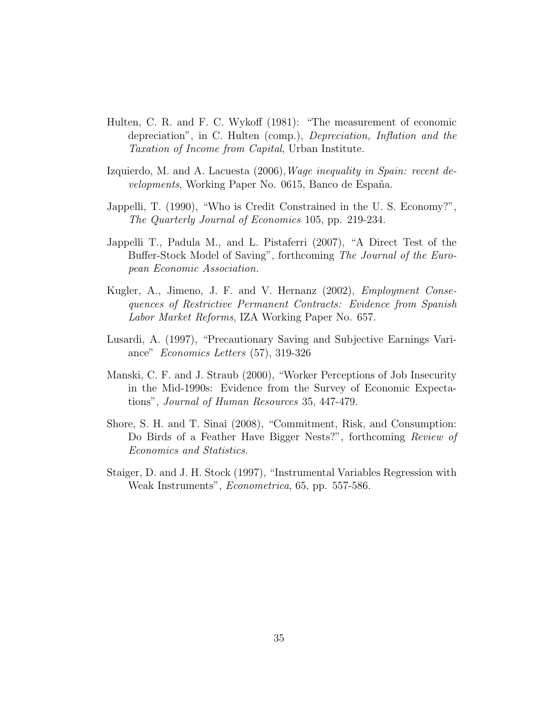- Hulten, C. R. and F. C. Wykoff (1981): "The measurement of economic depreciation", in C. Hulten (comp.), Depreciation, Inflation and the Taxation of Income from Capital, Urban Institute.
- Izquierdo, M. and A. Lacuesta (2006), *Wage inequality in Spain: recent de*velopments, Working Paper No. 0615, Banco de España.
- Jappelli, T. (1990), "Who is Credit Constrained in the U. S. Economy?", The Quarterly Journal of Economics 105, pp. 219-234.
- Jappelli T., Padula M., and L. Pistaferri (2007), "A Direct Test of the Buffer-Stock Model of Saving", forthcoming The Journal of the European Economic Association.
- Kugler, A., Jimeno, J. F. and V. Hernanz (2002), Employment Consequences of Restrictive Permanent Contracts: Evidence from Spanish Labor Market Reforms, IZA Working Paper No. 657.
- Lusardi, A. (1997), "Precautionary Saving and Subjective Earnings Variance" Economics Letters (57), 319-326
- Manski, C. F. and J. Straub (2000), "Worker Perceptions of Job Insecurity in the Mid-1990s: Evidence from the Survey of Economic Expectations", Journal of Human Resources 35, 447-479.
- Shore, S. H. and T. Sinai (2008), "Commitment, Risk, and Consumption: Do Birds of a Feather Have Bigger Nests?", forthcoming Review of Economics and Statistics.
- Staiger, D. and J. H. Stock (1997), "Instrumental Variables Regression with Weak Instruments", *Econometrica*, 65, pp. 557-586.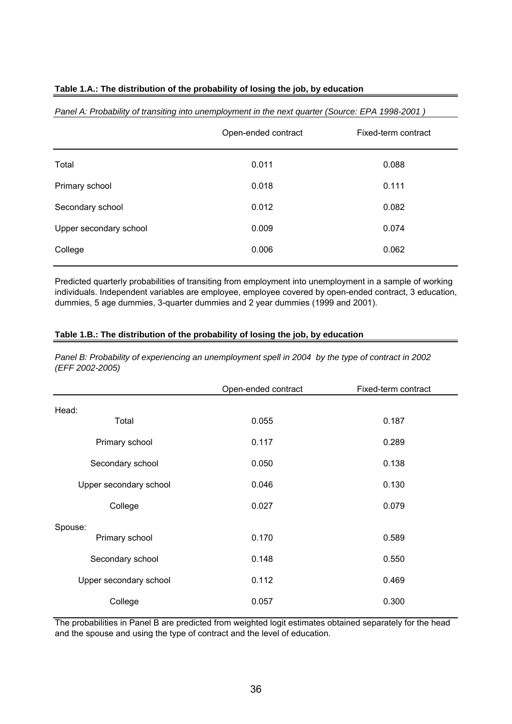### **Table 1.A.: The distribution of the probability of losing the job, by education**

|                        | Open-ended contract | Fixed-term contract |
|------------------------|---------------------|---------------------|
| Total                  | 0.011               | 0.088               |
| Primary school         | 0.018               | 0.111               |
| Secondary school       | 0.012               | 0.082               |
| Upper secondary school | 0.009               | 0.074               |
| College                | 0.006               | 0.062               |
|                        |                     |                     |

#### *Panel A: Probability of transiting into unemployment in the next quarter (Source: EPA 1998-2001 )*

Predicted quarterly probabilities of transiting from employment into unemployment in a sample of working individuals. Independent variables are employee, employee covered by open-ended contract, 3 education, dummies, 5 age dummies, 3-quarter dummies and 2 year dummies (1999 and 2001).

### **Table 1.B.: The distribution of the probability of losing the job, by education**

*Panel B: Probability of experiencing an unemployment spell in 2004 by the type of contract in 2002 (EFF 2002-2005)*

|                        | Open-ended contract | Fixed-term contract |
|------------------------|---------------------|---------------------|
| Head:                  |                     |                     |
| Total                  | 0.055               | 0.187               |
| Primary school         | 0.117               | 0.289               |
| Secondary school       | 0.050               | 0.138               |
| Upper secondary school | 0.046               | 0.130               |
| College                | 0.027               | 0.079               |
| Spouse:                |                     |                     |
| Primary school         | 0.170               | 0.589               |
| Secondary school       | 0.148               | 0.550               |
| Upper secondary school | 0.112               | 0.469               |
| College                | 0.057               | 0.300               |

The probabilities in Panel B are predicted from weighted logit estimates obtained separately for the head and the spouse and using the type of contract and the level of education.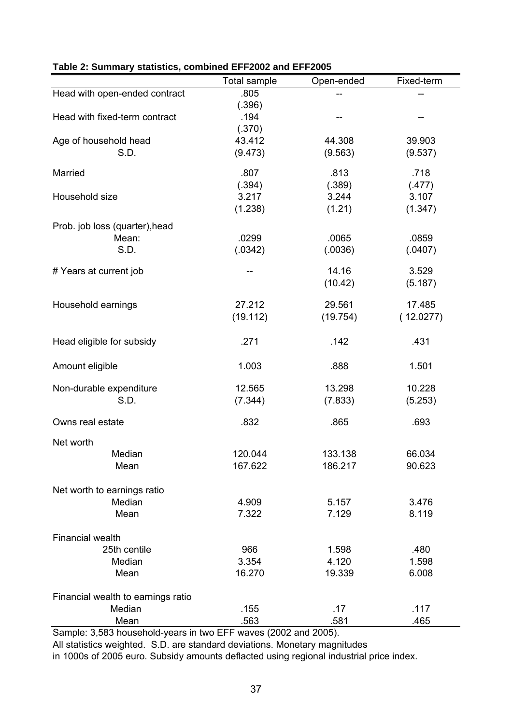|                                                | Total sample | Open-ended | Fixed-term |
|------------------------------------------------|--------------|------------|------------|
| Head with open-ended contract                  | .805         |            |            |
|                                                | (.396)       |            |            |
| Head with fixed-term contract                  | .194         |            | --         |
|                                                | (.370)       |            |            |
| Age of household head                          | 43.412       | 44.308     | 39.903     |
| S.D.                                           | (9.473)      | (9.563)    | (9.537)    |
| Married                                        | .807         | .813       | .718       |
|                                                | (.394)       | (.389)     | (.477)     |
| Household size                                 | 3.217        | 3.244      | 3.107      |
|                                                | (1.238)      | (1.21)     | (1.347)    |
| Prob. job loss (quarter), head                 |              |            |            |
| Mean:                                          | .0299        | .0065      | .0859      |
| S.D.                                           | (.0342)      | (.0036)    | (.0407)    |
| # Years at current job                         |              | 14.16      | 3.529      |
|                                                |              | (10.42)    | (5.187)    |
|                                                |              |            |            |
| Household earnings                             | 27.212       | 29.561     | 17.485     |
|                                                | (19.112)     | (19.754)   | (12.0277)  |
| Head eligible for subsidy                      | .271         | .142       | .431       |
| Amount eligible                                | 1.003        | .888       | 1.501      |
| Non-durable expenditure                        | 12.565       | 13.298     | 10.228     |
| S.D.                                           | (7.344)      | (7.833)    | (5.253)    |
|                                                |              |            |            |
| Owns real estate                               | .832         | .865       | .693       |
| Net worth                                      |              |            |            |
| Median                                         | 120.044      | 133.138    | 66.034     |
| Mean                                           | 167.622      | 186.217    | 90.623     |
| Net worth to earnings ratio                    |              |            |            |
| Median                                         | 4.909        | 5.157      | 3.476      |
| Mean                                           | 7.322        | 7.129      | 8.119      |
|                                                |              |            |            |
| <b>Financial wealth</b>                        |              |            |            |
| 25th centile                                   | 966          | 1.598      | .480       |
| Median                                         | 3.354        | 4.120      | 1.598      |
| Mean                                           | 16.270       | 19.339     | 6.008      |
| Financial wealth to earnings ratio             |              |            |            |
| Median                                         | .155         | .17        | .117       |
| Mean                                           | .563         | .581       | .465       |
| 2.502 household voore in two FFF wouse (2002 o |              |            |            |

|  | Table 2: Summary statistics, combined EFF2002 and EFF2005 |
|--|-----------------------------------------------------------|
|  |                                                           |

Sample: 3,583 household-years in two EFF waves (2002 and 2005). All statistics weighted. S.D. are standard deviations. Monetary magnitudes

in 1000s of 2005 euro. Subsidy amounts deflacted using regional industrial price index.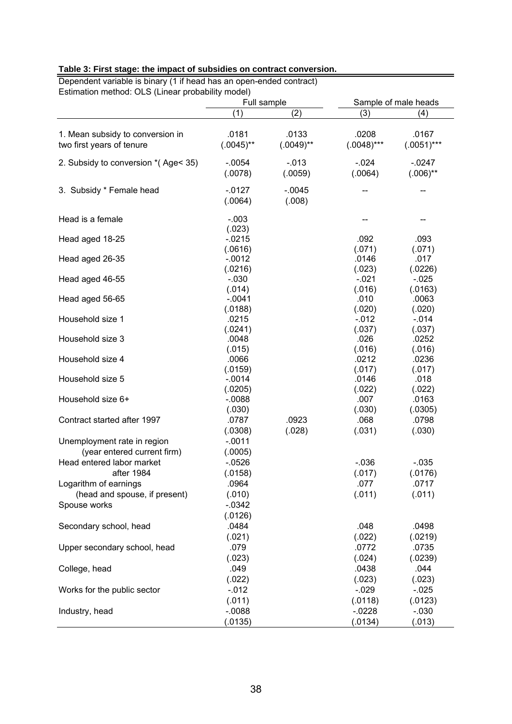| Dependent variable is binary (1 if head has an open-ended contract)<br>Estimation method: OLS (Linear probability model) |                                |                       |                               |                              |
|--------------------------------------------------------------------------------------------------------------------------|--------------------------------|-----------------------|-------------------------------|------------------------------|
|                                                                                                                          | Full sample<br>(1)             | (2)                   | (3)                           | Sample of male heads<br>(4)  |
|                                                                                                                          |                                |                       |                               |                              |
| 1. Mean subsidy to conversion in<br>two first years of tenure                                                            | .0181<br>$(.0045)$ **          | .0133<br>$(.0049)$ ** | .0208<br>$(.0048)$ ***        | .0167<br>$(.0051)***$        |
| 2. Subsidy to conversion *(Age< 35)                                                                                      | $-.0054$<br>(.0078)            | $-.013$<br>(.0059)    | $-.024$<br>(.0064)            | $-0247$<br>$(.006)$ **       |
| 3. Subsidy * Female head                                                                                                 | $-0127$<br>(.0064)             | $-0.045$<br>(.008)    |                               |                              |
| Head is a female                                                                                                         | $-.003$                        |                       |                               |                              |
| Head aged 18-25                                                                                                          | (.023)<br>$-0215$              |                       | .092                          | .093                         |
| Head aged 26-35                                                                                                          | (.0616)<br>$-0.012$<br>(.0216) |                       | (.071)<br>.0146<br>(.023)     | (.071)<br>.017<br>(.0226)    |
| Head aged 46-55                                                                                                          | $-0.030$<br>(.014)             |                       | $-.021$<br>(.016)             | $-0.025$<br>(.0163)          |
| Head aged 56-65                                                                                                          | $-.0041$<br>(.0188)            |                       | .010<br>(.020)                | .0063<br>(.020)              |
| Household size 1                                                                                                         | .0215<br>(.0241)               |                       | $-0.012$<br>(.037)            | $-0.14$<br>(.037)            |
| Household size 3                                                                                                         | .0048<br>(.015)                |                       | .026<br>(.016)                | .0252<br>(.016)              |
| Household size 4                                                                                                         | .0066<br>(.0159)               |                       | .0212<br>(.017)               | .0236<br>(.017)              |
| Household size 5                                                                                                         | $-.0014$<br>(.0205)            |                       | .0146<br>(.022)               | .018<br>(.022)               |
| Household size 6+                                                                                                        | $-0.088$<br>(.030)             |                       | .007<br>(.030)                | .0163<br>(.0305)             |
| Contract started after 1997                                                                                              | .0787<br>(.0308)               | .0923<br>(.028)       | .068<br>(.031)                | .0798<br>(.030)              |
| Unemployment rate in region<br>(year entered current firm)                                                               | $-.0011$<br>(.0005)            |                       |                               |                              |
| Head entered labor market<br>after 1984                                                                                  | $-0526$<br>(.0158)             |                       | $-.036$<br>(.017)             | $-.035$<br>(.0176)           |
| Logarithm of earnings<br>(head and spouse, if present)                                                                   | .0964<br>(.010)                |                       | .077<br>(.011)                | .0717<br>(.011)              |
| Spouse works                                                                                                             | $-0.0342$                      |                       |                               |                              |
| Secondary school, head                                                                                                   | (.0126)<br>.0484<br>(.021)     |                       | .048<br>(.022)                | .0498<br>(.0219)             |
| Upper secondary school, head                                                                                             | .079<br>(.023)                 |                       | .0772<br>(.024)               | .0735<br>(.0239)             |
| College, head                                                                                                            | .049                           |                       | .0438                         | .044                         |
| Works for the public sector                                                                                              | (.022)<br>$-0.012$             |                       | (.023)<br>$-0.029$            | (.023)<br>$-0.025$           |
| Industry, head                                                                                                           | (.011)<br>$-0.088$<br>(.0135)  |                       | (.0118)<br>$-0228$<br>(.0134) | (.0123)<br>$-.030$<br>(.013) |

## **Table 3: First stage: the impact of subsidies on contract conversion.**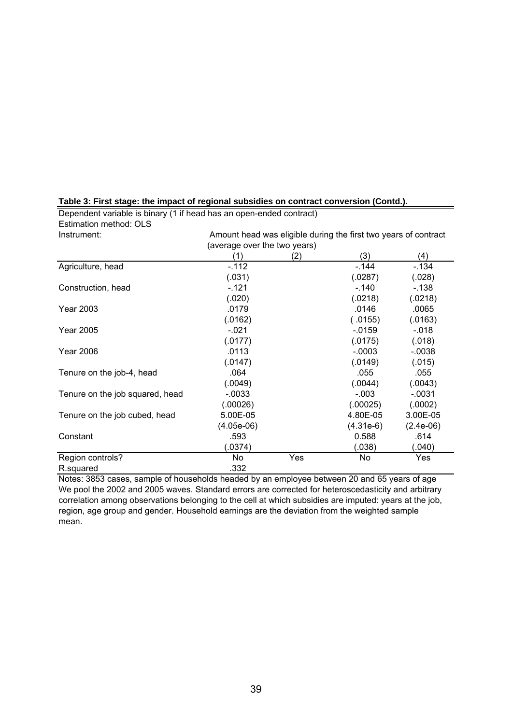| Instrument:                     | Amount head was eligible during the first two years of contract |     |           |             |  |
|---------------------------------|-----------------------------------------------------------------|-----|-----------|-------------|--|
|                                 | (average over the two years)                                    |     |           |             |  |
|                                 | (1)                                                             | (2) | (3)       | (4)         |  |
| Agriculture, head               | $-.112$                                                         |     | $-144$    | $-.134$     |  |
|                                 | (.031)                                                          |     | (.0287)   | (.028)      |  |
| Construction, head              | $-.121$                                                         |     | $-.140$   | $-138$      |  |
|                                 | (.020)                                                          |     | (.0218)   | (.0218)     |  |
| <b>Year 2003</b>                | .0179                                                           |     | .0146     | .0065       |  |
|                                 | (.0162)                                                         |     | (.0155)   | (.0163)     |  |
| <b>Year 2005</b>                | $-.021$                                                         |     | $-0.0159$ | $-.018$     |  |
|                                 | (.0177)                                                         |     | (.0175)   | (.018)      |  |
| <b>Year 2006</b>                | .0113                                                           |     | $-.0003$  | $-0.0038$   |  |
|                                 | (.0147)                                                         |     | (.0149)   | (.015)      |  |
| Tenure on the job-4, head       | .064                                                            |     | .055      | .055        |  |
|                                 | (.0049)                                                         |     | (.0044)   | (.0043)     |  |
| Tenure on the job squared, head | $-.0033$                                                        |     | $-.003$   | $-.0031$    |  |
|                                 | (.00026)                                                        |     | (.00025)  | (.0002)     |  |
| Tenure on the job cubed, head   | 5.00E-05                                                        |     | 4.80E-05  | 3.00E-05    |  |
|                                 | (4.05e-06)                                                      |     | (4.31e-6) | $(2.4e-06)$ |  |
| Constant                        | .593                                                            |     | 0.588     | .614        |  |
|                                 | (0374)                                                          |     | (.038)    | (.040)      |  |
| Region controls?                | No                                                              | Yes | No        | Yes         |  |
| R.squared                       | .332                                                            |     |           |             |  |

**Table 3: First stage: the impact of regional subsidies on contract conversion (Contd.).** Dependent variable is binary (1 if head has an open-ended contract)

Estimation method: OLS<br>Instrument:

Notes: 3853 cases, sample of households headed by an employee between 20 and 65 years of age We pool the 2002 and 2005 waves. Standard errors are corrected for heteroscedasticity and arbitrary correlation among observations belonging to the cell at which subsidies are imputed: years at the job, region, age group and gender. Household earnings are the deviation from the weighted sample mean.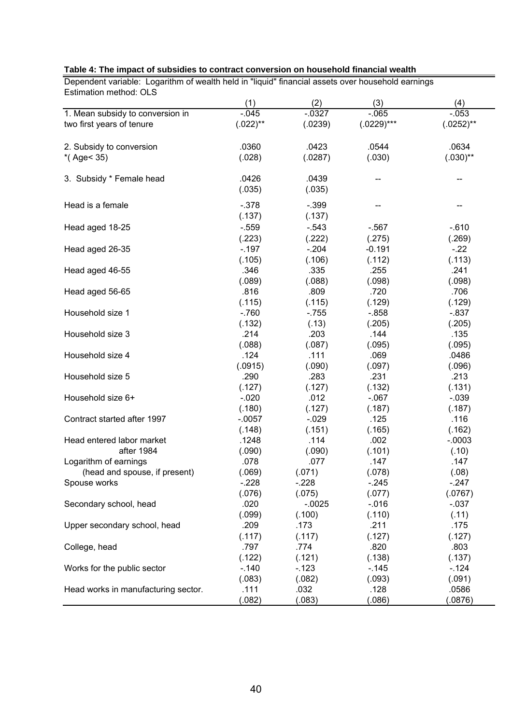| Estimation method: OLS              | (1)         | (2)       | (3)          | (4)          |
|-------------------------------------|-------------|-----------|--------------|--------------|
| 1. Mean subsidy to conversion in    | $-0.045$    | $-0.0327$ | $-065$       | $-0.053$     |
| two first years of tenure           | $(.022)$ ** | (.0239)   | $(.0229)***$ | $(.0252)$ ** |
|                                     |             |           |              |              |
| 2. Subsidy to conversion            | .0360       | .0423     | .0544        | .0634        |
| $*($ Age < 35)                      | (.028)      | (.0287)   | (.030)       | $(.030)$ **  |
| 3. Subsidy * Female head            | .0426       | .0439     | --           | --           |
|                                     | (.035)      | (.035)    |              |              |
| Head is a female                    | $-.378$     | $-.399$   |              |              |
|                                     | (.137)      | (.137)    |              |              |
| Head aged 18-25                     | $-0.559$    | $-0.543$  | $-567$       | $-0.610$     |
|                                     | (.223)      | (.222)    | (.275)       | (.269)       |
| Head aged 26-35                     | $-.197$     | $-.204$   | $-0.191$     | $-22$        |
|                                     | (.105)      | (.106)    | (.112)       | (.113)       |
| Head aged 46-55                     | .346        | .335      | .255         | .241         |
|                                     | (.089)      | (.088)    | (.098)       | (.098)       |
| Head aged 56-65                     | .816        | .809      | .720         | .706         |
|                                     | (.115)      | (.115)    | (.129)       | (.129)       |
| Household size 1                    | $-760$      | $-755$    | $-0.858$     | $-.837$      |
|                                     | (.132)      | (.13)     | (.205)       | (.205)       |
| Household size 3                    | .214        | .203      | .144         | .135         |
|                                     | (.088)      | (.087)    | (.095)       | (.095)       |
| Household size 4                    | .124        | .111      | .069         | .0486        |
|                                     | (.0915)     | (.090)    | (.097)       | (.096)       |
| Household size 5                    | .290        | .283      | .231         | .213         |
|                                     | (.127)      | (.127)    | (.132)       | (.131)       |
| Household size 6+                   | $-.020$     | .012      | $-067$       | $-.039$      |
|                                     | (.180)      | (.127)    | (.187)       | (.187)       |
| Contract started after 1997         | $-.0057$    | $-.029$   | .125         | .116         |
|                                     | (.148)      | (.151)    | (.165)       | (.162)       |
| Head entered labor market           | .1248       | .114      | .002         | $-.0003$     |
| after 1984                          | (.090)      | (.090)    | (.101)       | (.10)        |
| Logarithm of earnings               | .078        | .077      | .147         | .147         |
| (head and spouse, if present)       | (.069)      | (.071)    | (.078)       | (.08)        |
| Spouse works                        | $-.228$     | $-.228$   | $-.245$      | $-.247$      |
|                                     | (.076)      | (.075)    | (.077)       | (.0767)      |
| Secondary school, head              | .020        | $-0.0025$ | $-0.16$      | $-0.37$      |
|                                     | (.099)      | (.100)    | (.110)       | (.11)        |
| Upper secondary school, head        | .209        | .173      | .211         | .175         |
|                                     | (.117)      | (.117)    | (.127)       | (.127)       |
| College, head                       | .797        | .774      | .820         | .803         |
|                                     | (.122)      | (.121)    | (.138)       | (.137)       |
| Works for the public sector         | $-.140$     | $-123$    | $-145$       | $-124$       |
|                                     | (.083)      | (.082)    | (.093)       | (.091)       |
| Head works in manufacturing sector. | .111        | .032      | .128         | .0586        |
|                                     | (.082)      | (.083)    | (.086)       | (.0876)      |

#### **Table 4: The impact of subsidies to contract conversion on household financial wealth**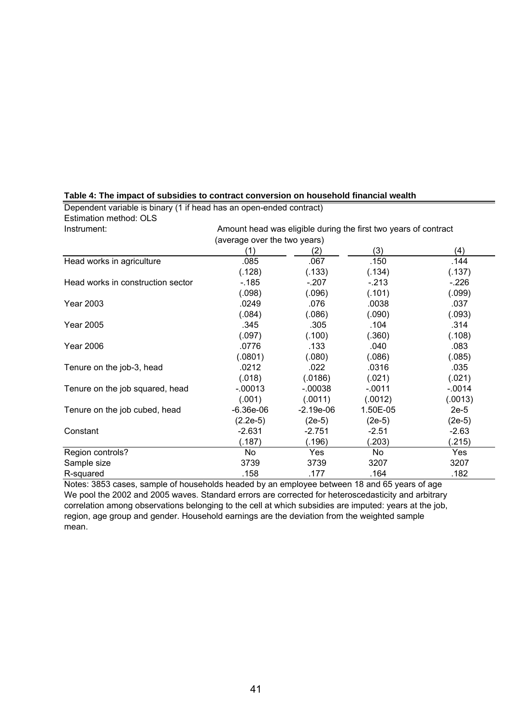| Instrument:                       | Amount head was eligible during the first two years of contract |             |          |          |  |
|-----------------------------------|-----------------------------------------------------------------|-------------|----------|----------|--|
|                                   | (average over the two years)                                    |             |          |          |  |
|                                   | (1)                                                             | (2)         | (3)      | (4)      |  |
| Head works in agriculture         | .085                                                            | .067        | .150     | .144     |  |
|                                   | (.128)                                                          | (.133)      | (.134)   | (.137)   |  |
| Head works in construction sector | $-185$                                                          | $-.207$     | $-.213$  | $-.226$  |  |
|                                   | (.098)                                                          | (.096)      | (.101)   | (.099)   |  |
| <b>Year 2003</b>                  | .0249                                                           | .076        | .0038    | .037     |  |
|                                   | (.084)                                                          | (.086)      | (.090)   | (.093)   |  |
| <b>Year 2005</b>                  | .345                                                            | .305        | .104     | .314     |  |
|                                   | (.097)                                                          | (.100)      | (.360)   | (.108)   |  |
| <b>Year 2006</b>                  | .0776                                                           | .133        | .040     | .083     |  |
|                                   | (.0801)                                                         | (.080)      | (.086)   | (.085)   |  |
| Tenure on the job-3, head         | .0212                                                           | .022        | .0316    | .035     |  |
|                                   | (.018)                                                          | (.0186)     | (.021)   | (.021)   |  |
| Tenure on the job squared, head   | $-.00013$                                                       | $-00038$    | $-.0011$ | $-.0014$ |  |
|                                   | (.001)                                                          | (.0011)     | (.0012)  | (.0013)  |  |
| Tenure on the job cubed, head     | $-6.36e-06$                                                     | $-2.19e-06$ | 1.50E-05 | $2e-5$   |  |
|                                   | $(2.2e-5)$                                                      | $(2e-5)$    | $(2e-5)$ | $(2e-5)$ |  |
| Constant                          | $-2.631$                                                        | $-2.751$    | $-2.51$  | $-2.63$  |  |
|                                   | (.187)                                                          | (.196)      | (.203)   | (.215)   |  |
| Region controls?                  | No                                                              | Yes         | No       | Yes      |  |
| Sample size                       | 3739                                                            | 3739        | 3207     | 3207     |  |
| R-squared                         | .158                                                            | .177        | .164     | .182     |  |

**Table 4: The impact of subsidies to contract conversion on household financial wealth** Dependent variable is binary (1 if head has an open-ended contract)

Estimation method: OLS

Notes: 3853 cases, sample of households headed by an employee between 18 and 65 years of age We pool the 2002 and 2005 waves. Standard errors are corrected for heteroscedasticity and arbitrary correlation among observations belonging to the cell at which subsidies are imputed: years at the job, region, age group and gender. Household earnings are the deviation from the weighted sample mean.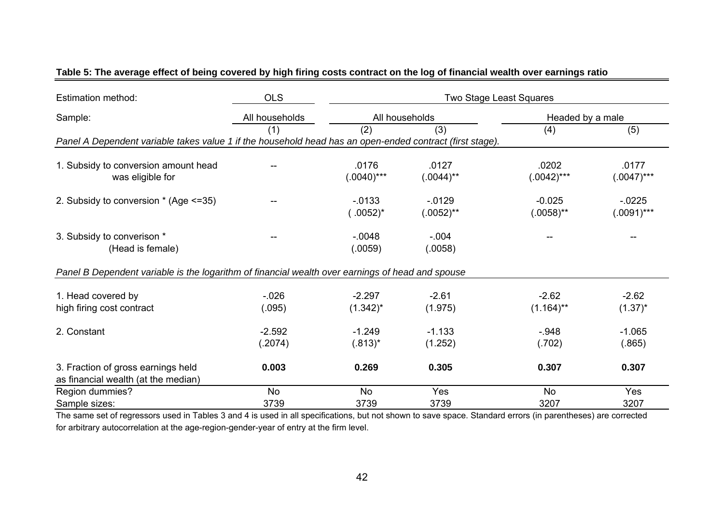| <b>Estimation method:</b>                                                                                | <b>OLS</b>     | Two Stage Least Squares |              |                  |               |
|----------------------------------------------------------------------------------------------------------|----------------|-------------------------|--------------|------------------|---------------|
| Sample:                                                                                                  | All households | All households          |              | Headed by a male |               |
|                                                                                                          | (1)            | (2)                     | (3)          | (4)              | (5)           |
| Panel A Dependent variable takes value 1 if the household head has an open-ended contract (first stage). |                |                         |              |                  |               |
| 1. Subsidy to conversion amount head                                                                     |                | .0176                   | .0127        | .0202            | .0177         |
| was eligible for                                                                                         |                | $(.0040)***$            | $(.0044)$ ** | $(.0042)***$     | $(.0047)***$  |
| 2. Subsidy to conversion * (Age <= 35)                                                                   |                | $-0.0133$               | $-0129$      | $-0.025$         | $-0225$       |
|                                                                                                          |                | $(.0052)^*$             | $(.0052)$ ** | $(.0058)$ **     | $(.0091)$ *** |
| 3. Subsidy to converison *                                                                               |                | $-.0048$                | $-.004$      |                  |               |
| (Head is female)                                                                                         |                | (.0059)                 | (.0058)      |                  |               |
| Panel B Dependent variable is the logarithm of financial wealth over earnings of head and spouse         |                |                         |              |                  |               |
| 1. Head covered by                                                                                       | $-.026$        | $-2.297$                | $-2.61$      | $-2.62$          | $-2.62$       |
| high firing cost contract                                                                                | (.095)         | $(1.342)^{*}$           | (1.975)      | $(1.164)$ **     | $(1.37)^*$    |
| 2. Constant                                                                                              | $-2.592$       | $-1.249$                | $-1.133$     | $-948$           | $-1.065$      |
|                                                                                                          | (.2074)        | $(.813)^*$              | (1.252)      | (.702)           | (.865)        |
| 3. Fraction of gross earnings held                                                                       | 0.003          | 0.269                   | 0.305        | 0.307            | 0.307         |
| as financial wealth (at the median)                                                                      |                |                         |              |                  |               |
| Region dummies?                                                                                          | No             | <b>No</b>               | Yes          | <b>No</b>        | Yes           |
| Sample sizes:                                                                                            | 3739           | 3739                    | 3739         | 3207             | 3207          |

### **Table 5: The average effect of being covered by high firing costs contract on the log of financial wealth over earnings ratio**

The same set of regressors used in Tables 3 and 4 is used in all specifications, but not shown to save space. Standard errors (in parentheses) are corrected for arbitrary autocorrelation at the age-region-gender-year of entry at the firm level.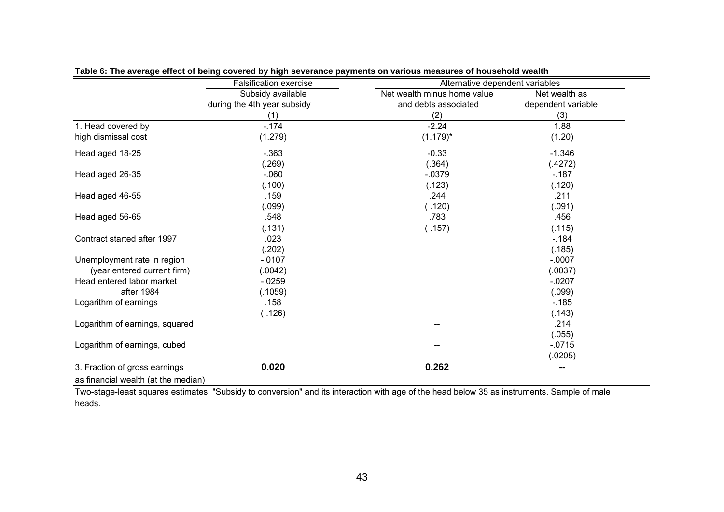|                                     | <b>Falsification exercise</b> | Alternative dependent variables |                    |
|-------------------------------------|-------------------------------|---------------------------------|--------------------|
|                                     | Subsidy available             | Net wealth minus home value     | Net wealth as      |
|                                     | during the 4th year subsidy   | and debts associated            | dependent variable |
|                                     | (1)                           | (2)                             | (3)                |
| 1. Head covered by                  | $-.174$                       | $-2.24$                         | 1.88               |
| high dismissal cost                 | (1.279)                       | $(1.179)^*$                     | (1.20)             |
| Head aged 18-25                     | $-.363$                       | $-0.33$                         | $-1.346$           |
|                                     | (.269)                        | (.364)                          | (.4272)            |
| Head aged 26-35                     | $-060$                        | $-0.0379$                       | $-187$             |
|                                     | (.100)                        | (.123)                          | (.120)             |
| Head aged 46-55                     | .159                          | .244                            | .211               |
|                                     | (.099)                        | (.120)                          | (.091)             |
| Head aged 56-65                     | .548                          | .783                            | .456               |
|                                     | (.131)                        | (.157)                          | (.115)             |
| Contract started after 1997         | .023                          |                                 | $-184$             |
|                                     | (.202)                        |                                 | (.185)             |
| Unemployment rate in region         | $-.0107$                      |                                 | $-.0007$           |
| (year entered current firm)         | (.0042)                       |                                 | (.0037)            |
| Head entered labor market           | $-0.0259$                     |                                 | $-.0207$           |
| after 1984                          | (.1059)                       |                                 | (.099)             |
| Logarithm of earnings               | .158                          |                                 | $-185$             |
|                                     | (.126)                        |                                 | (.143)             |
| Logarithm of earnings, squared      |                               |                                 | .214               |
|                                     |                               |                                 | (.055)             |
| Logarithm of earnings, cubed        |                               |                                 | $-0715$            |
|                                     |                               |                                 | (.0205)            |
| 3. Fraction of gross earnings       | 0.020                         | 0.262                           | ⊷                  |
| as financial wealth (at the median) |                               |                                 |                    |

**Table 6: The average effect of being covered by high severance payments on various measures of household wealth**

Two-stage-least squares estimates, "Subsidy to conversion" and its interaction with age of the head below 35 as instruments. Sample of male heads.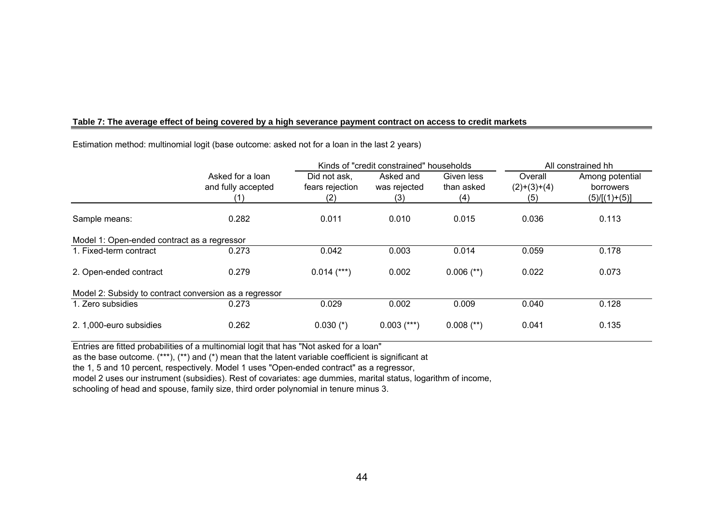### **Table 7: The average effect of being covered by a high severance payment contract on access to credit markets**

|                                                        | Kinds of "credit constrained" households      |                                        |                                  |                                 |                                 | All constrained hh                              |
|--------------------------------------------------------|-----------------------------------------------|----------------------------------------|----------------------------------|---------------------------------|---------------------------------|-------------------------------------------------|
|                                                        | Asked for a loan<br>and fully accepted<br>(1) | Did not ask,<br>fears rejection<br>(2) | Asked and<br>was rejected<br>(3) | Given less<br>than asked<br>(4) | Overall<br>$(2)+(3)+(4)$<br>(5) | Among potential<br>borrowers<br>$(5)/[(1)+(5)]$ |
| Sample means:                                          | 0.282                                         | 0.011                                  | 0.010                            | 0.015                           | 0.036                           | 0.113                                           |
| Model 1: Open-ended contract as a regressor            |                                               |                                        |                                  |                                 |                                 |                                                 |
| 1. Fixed-term contract                                 | 0.273                                         | 0.042                                  | 0.003                            | 0.014                           | 0.059                           | 0.178                                           |
| 2. Open-ended contract                                 | 0.279                                         | $0.014$ (***)                          | 0.002                            | $0.006$ (**)                    | 0.022                           | 0.073                                           |
| Model 2: Subsidy to contract conversion as a regressor |                                               |                                        |                                  |                                 |                                 |                                                 |
| 1. Zero subsidies                                      | 0.273                                         | 0.029                                  | 0.002                            | 0.009                           | 0.040                           | 0.128                                           |
| 2. 1,000-euro subsidies                                | 0.262                                         | $0.030$ (*)                            | $0.003$ (***)                    | $0.008$ (**)                    | 0.041                           | 0.135                                           |

Estimation method: multinomial logit (base outcome: asked not for a loan in the last 2 years)

Entries are fitted probabilities of a multinomial logit that has "Not asked for a loan"

as the base outcome. (\*\*\*), (\*\*) and (\*) mean that the latent variable coefficient is significant at

the 1, 5 and 10 percent, respectively. Model 1 uses "Open-ended contract" as a regressor,

model 2 uses our instrument (subsidies). Rest of covariates: age dummies, marital status, logarithm of income,

schooling of head and spouse, family size, third order polynomial in tenure minus 3.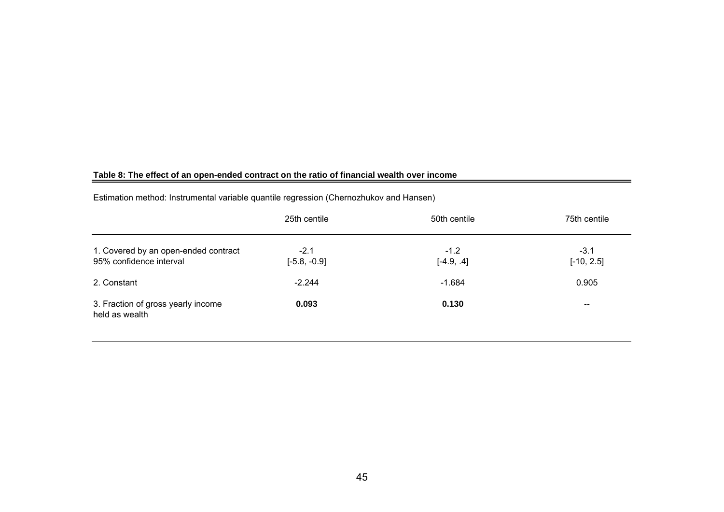### **Table 8: The effect of an open-ended contract on the ratio of financial wealth over income**

| Estimation method: Instrumental variable quantile regression (Chernozhukov and Hansen) |  |  |  |  |
|----------------------------------------------------------------------------------------|--|--|--|--|
|----------------------------------------------------------------------------------------|--|--|--|--|

|                                                                 | 25th centile             | 50th centile           | 75th centile           |
|-----------------------------------------------------------------|--------------------------|------------------------|------------------------|
| 1. Covered by an open-ended contract<br>95% confidence interval | $-2.1$<br>$[-5.8, -0.9]$ | $-1.2$<br>$[-4.9, .4]$ | $-3.1$<br>$[-10, 2.5]$ |
| 2. Constant                                                     | $-2.244$                 | $-1.684$               | 0.905                  |
| 3. Fraction of gross yearly income<br>held as wealth            | 0.093                    | 0.130                  | $\sim$                 |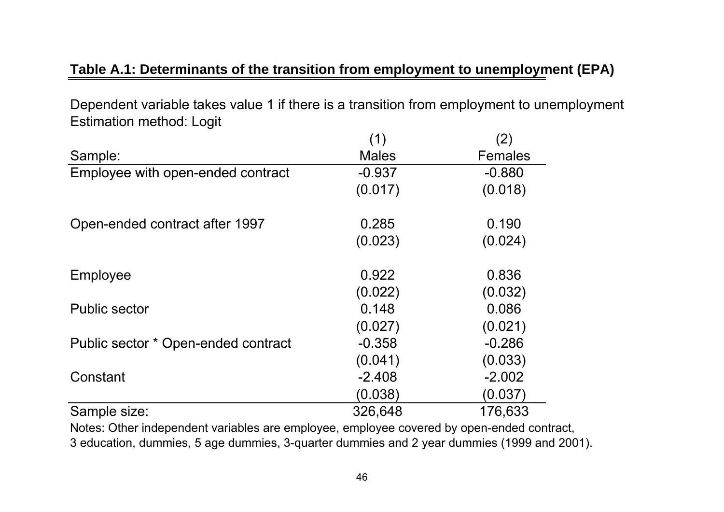## **Table A.1: Determinants of the transition from employment to unemployment (EPA)**

Dependent variable takes value 1 if there is a transition from employment to unemployment Estimation method: Logit

|                                     | (1)          | (2)            |
|-------------------------------------|--------------|----------------|
| Sample:                             | <b>Males</b> | <b>Females</b> |
| Employee with open-ended contract   | $-0.937$     | $-0.880$       |
|                                     | (0.017)      | (0.018)        |
| Open-ended contract after 1997      | 0.285        | 0.190          |
|                                     | (0.023)      | (0.024)        |
| Employee                            | 0.922        | 0.836          |
|                                     | (0.022)      | (0.032)        |
| <b>Public sector</b>                | 0.148        | 0.086          |
|                                     | (0.027)      | (0.021)        |
| Public sector * Open-ended contract | $-0.358$     | $-0.286$       |
|                                     | (0.041)      | (0.033)        |
| Constant                            | $-2.408$     | $-2.002$       |
|                                     | (0.038)      | (0.037)        |
| Sample size:                        | 326,648      | 176,633        |

Notes: Other independent variables are employee, employee covered by open-ended contract, 3 education, dummies, 5 age dummies, 3-quarter dummies and 2 year dummies (1999 and 2001).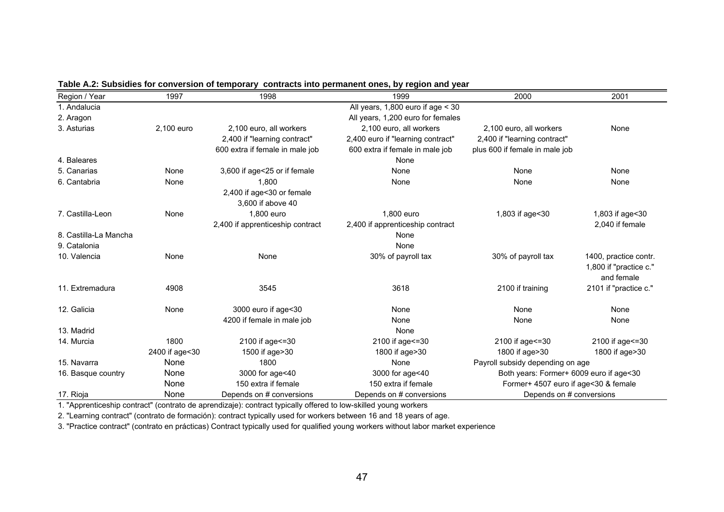| Region / Year         | 1997           | 1998                             | 1999                                  | 2000                                    | 2001                   |
|-----------------------|----------------|----------------------------------|---------------------------------------|-----------------------------------------|------------------------|
| 1. Andalucia          |                |                                  | All years, $1,800$ euro if age $<$ 30 |                                         |                        |
| 2. Aragon             |                |                                  | All years, 1,200 euro for females     |                                         |                        |
| 3. Asturias           | 2,100 euro     | 2,100 euro, all workers          | 2,100 euro, all workers               | 2,100 euro, all workers                 | None                   |
|                       |                | 2,400 if "learning contract"     | 2,400 euro if "learning contract"     | 2,400 if "learning contract"            |                        |
|                       |                | 600 extra if female in male job  | 600 extra if female in male job       | plus 600 if female in male job          |                        |
| 4. Baleares           |                |                                  | None                                  |                                         |                        |
| 5. Canarias           | None           | 3,600 if age<25 or if female     | None                                  | None                                    | None                   |
| 6. Cantabria          | None           | 1,800                            | None                                  | None                                    | None                   |
|                       |                | 2,400 if age<30 or female        |                                       |                                         |                        |
|                       |                | 3,600 if above 40                |                                       |                                         |                        |
| 7. Castilla-Leon      | None           | 1,800 euro                       | 1,800 euro                            | 1,803 if age<30                         | 1,803 if age<30        |
|                       |                | 2,400 if apprenticeship contract | 2,400 if apprenticeship contract      |                                         | 2.040 if female        |
| 8. Castilla-La Mancha |                |                                  | None                                  |                                         |                        |
| 9. Catalonia          |                |                                  | None                                  |                                         |                        |
| 10. Valencia          | None           | None                             | 30% of payroll tax                    | 30% of payroll tax                      | 1400, practice contr.  |
|                       |                |                                  |                                       |                                         | 1,800 if "practice c." |
|                       |                |                                  |                                       |                                         | and female             |
| 11. Extremadura       | 4908           | 3545                             | 3618                                  | 2100 if training                        | 2101 if "practice c."  |
| 12. Galicia           | None           | 3000 euro if age<30              | None                                  | None                                    | None                   |
|                       |                | 4200 if female in male job       | None                                  | None                                    | None                   |
| 13. Madrid            |                |                                  | None                                  |                                         |                        |
| 14. Murcia            | 1800           | 2100 if age <= 30                | 2100 if age <= 30                     | 2100 if age <= 30                       | 2100 if age <= 30      |
|                       | 2400 if age<30 | 1500 if age>30                   | 1800 if age>30                        | 1800 if age>30                          | 1800 if age>30         |
| 15. Navarra           | None           | 1800                             | None                                  | Payroll subsidy depending on age        |                        |
| 16. Basque country    | None           | 3000 for age<40                  | 3000 for age<40                       | Both years: Former+ 6009 euro if age<30 |                        |
|                       | None           | 150 extra if female              | 150 extra if female                   | Former+ 4507 euro if age<30 & female    |                        |
| 17. Rioja             | None           | Depends on # conversions         | Depends on # conversions              | Depends on # conversions                |                        |

**Table A.2: Subsidies for conversion of temporary contracts into permanent ones, by region and year**

1. "Apprenticeship contract" (contrato de aprendizaje): contract typically offered to low-skilled young workers

2. "Learning contract" (contrato de formación): contract typically used for workers between 16 and 18 years of age.

3. "Practice contract" (contrato en prácticas) Contract typically used for qualified young workers without labor market experience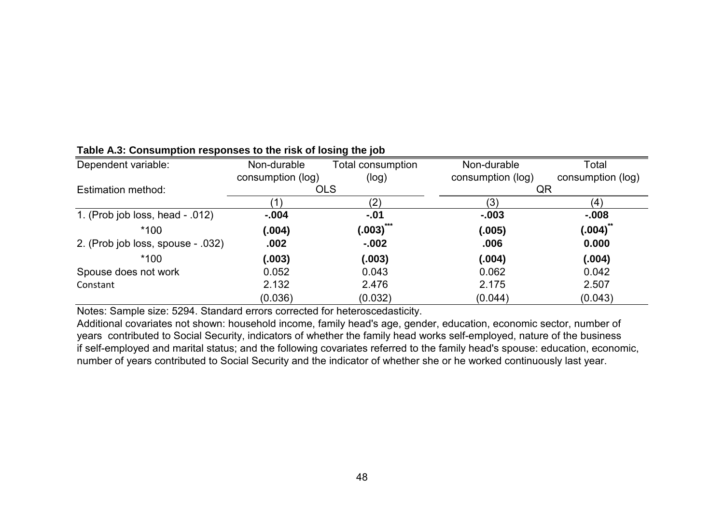| Dependent variable:               | Non-durable       | Total consumption | Non-durable       | Total             |
|-----------------------------------|-------------------|-------------------|-------------------|-------------------|
|                                   | consumption (log) | (log)             | consumption (log) | consumption (log) |
| Estimation method:                | <b>OLS</b>        |                   | QR                |                   |
|                                   | 1                 | (2)               | (3)               | (4)               |
| 1. (Prob job loss, head - .012)   | $-.004$           | $-.01$            | $-0.003$          | $-0.008$          |
| $*100$                            | (.004)            | (.003)            | (.005)            | (.004)            |
| 2. (Prob job loss, spouse - .032) | .002              | $-0.002$          | .006              | 0.000             |
| $*100$                            | (.003)            | (.003)            | (.004)            | (.004)            |
| Spouse does not work              | 0.052             | 0.043             | 0.062             | 0.042             |
| Constant                          | 2.132             | 2.476             | 2.175             | 2.507             |
|                                   | (0.036)           | (0.032)           | (0.044)           | (0.043)           |

### **Table A.3: Consumption responses to the risk of losing the job**

Notes: Sample size: 5294. Standard errors corrected for heteroscedasticity.

Additional covariates not shown: household income, family head's age, gender, education, economic sector, number of years contributed to Social Security, indicators of whether the family head works self-employed, nature of the business if self-employed and marital status; and the following covariates referred to the family head's spouse: education, economic, number of years contributed to Social Security and the indicator of whether she or he worked continuously last year.